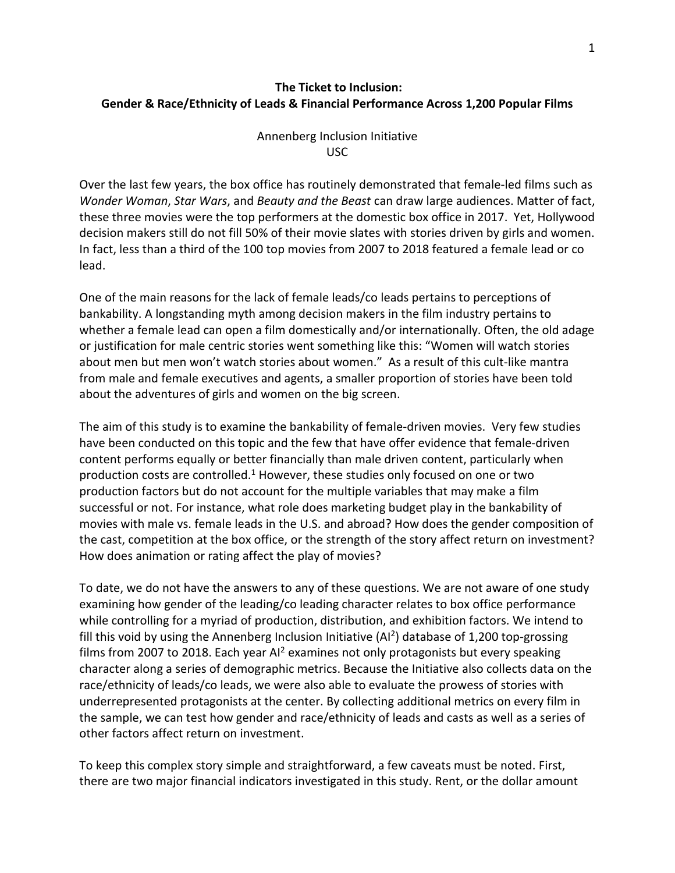# **The Ticket to Inclusion: Gender & Race/Ethnicity of Leads & Financial Performance Across 1,200 Popular Films**

## Annenberg Inclusion Initiative USC

Over the last few years, the box office has routinely demonstrated that female-led films such as *Wonder Woman*, *Star Wars*, and *Beauty and the Beast* can draw large audiences. Matter of fact, these three movies were the top performers at the domestic box office in 2017. Yet, Hollywood decision makers still do not fill 50% of their movie slates with stories driven by girls and women. In fact, less than a third of the 100 top movies from 2007 to 2018 featured a female lead or co lead.

One of the main reasons for the lack of female leads/co leads pertains to perceptions of bankability. A longstanding myth among decision makers in the film industry pertains to whether a female lead can open a film domestically and/or internationally. Often, the old adage or justification for male centric stories went something like this: "Women will watch stories about men but men won't watch stories about women." As a result of this cult-like mantra from male and female executives and agents, a smaller proportion of stories have been told about the adventures of girls and women on the big screen.

The aim of this study is to examine the bankability of female-driven movies. Very few studies have been conducted on this topic and the few that have offer evidence that female-driven content performs equally or better financially than male driven content, particularly when production costs are controlled.<sup>1</sup> However, these studies only focused on one or two production factors but do not account for the multiple variables that may make a film successful or not. For instance, what role does marketing budget play in the bankability of movies with male vs. female leads in the U.S. and abroad? How does the gender composition of the cast, competition at the box office, or the strength of the story affect return on investment? How does animation or rating affect the play of movies?

To date, we do not have the answers to any of these questions. We are not aware of one study examining how gender of the leading/co leading character relates to box office performance while controlling for a myriad of production, distribution, and exhibition factors. We intend to fill this void by using the Annenberg Inclusion Initiative  $(A<sup>12</sup>)$  database of 1,200 top-grossing films from 2007 to 2018. Each year AI<sup>2</sup> examines not only protagonists but every speaking character along a series of demographic metrics. Because the Initiative also collects data on the race/ethnicity of leads/co leads, we were also able to evaluate the prowess of stories with underrepresented protagonists at the center. By collecting additional metrics on every film in the sample, we can test how gender and race/ethnicity of leads and casts as well as a series of other factors affect return on investment.

To keep this complex story simple and straightforward, a few caveats must be noted. First, there are two major financial indicators investigated in this study. Rent, or the dollar amount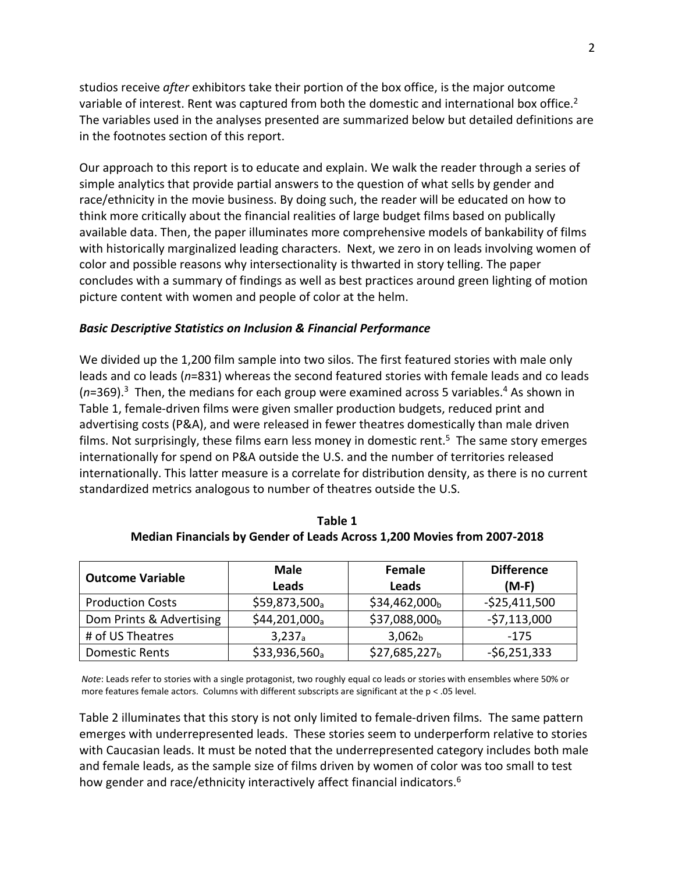studios receive *after* exhibitors take their portion of the box office, is the major outcome variable of interest. Rent was captured from both the domestic and international box office.<sup>2</sup> The variables used in the analyses presented are summarized below but detailed definitions are in the footnotes section of this report.

Our approach to this report is to educate and explain. We walk the reader through a series of simple analytics that provide partial answers to the question of what sells by gender and race/ethnicity in the movie business. By doing such, the reader will be educated on how to think more critically about the financial realities of large budget films based on publically available data. Then, the paper illuminates more comprehensive models of bankability of films with historically marginalized leading characters. Next, we zero in on leads involving women of color and possible reasons why intersectionality is thwarted in story telling. The paper concludes with a summary of findings as well as best practices around green lighting of motion picture content with women and people of color at the helm.

## *Basic Descriptive Statistics on Inclusion & Financial Performance*

We divided up the 1,200 film sample into two silos. The first featured stories with male only leads and co leads (*n*=831) whereas the second featured stories with female leads and co leads (*n*=369). 3 Then, the medians for each group were examined across 5 variables.4 As shown in Table 1, female-driven films were given smaller production budgets, reduced print and advertising costs (P&A), and were released in fewer theatres domestically than male driven films. Not surprisingly, these films earn less money in domestic rent. 5 The same story emerges internationally for spend on P&A outside the U.S. and the number of territories released internationally. This latter measure is a correlate for distribution density, as there is no current standardized metrics analogous to number of theatres outside the U.S.

| <b>Outcome Variable</b>  | <b>Male</b><br>Leads | Female<br>Leads           | <b>Difference</b><br>$(M-F)$ |
|--------------------------|----------------------|---------------------------|------------------------------|
| <b>Production Costs</b>  | \$59,873,500a        | \$34,462,000 <sub>b</sub> | $-$ \$25,411,500             |
| Dom Prints & Advertising | $$44,201,000_a$      | \$37,088,000 <sub>b</sub> | $-57,113,000$                |
| # of US Theatres         | 3,237 <sub>a</sub>   | 3,062 <sub>b</sub>        | $-175$                       |
| <b>Domestic Rents</b>    | $$33,936,560_a$      | $$27,685,227_b$           | $-56,251,333$                |

**Table 1 Median Financials by Gender of Leads Across 1,200 Movies from 2007-2018**

*Note*: Leads refer to stories with a single protagonist, two roughly equal co leads or stories with ensembles where 50% or more features female actors. Columns with different subscripts are significant at the  $p < .05$  level.

Table 2 illuminates that this story is not only limited to female-driven films. The same pattern emerges with underrepresented leads. These stories seem to underperform relative to stories with Caucasian leads. It must be noted that the underrepresented category includes both male and female leads, as the sample size of films driven by women of color was too small to test how gender and race/ethnicity interactively affect financial indicators.<sup>6</sup>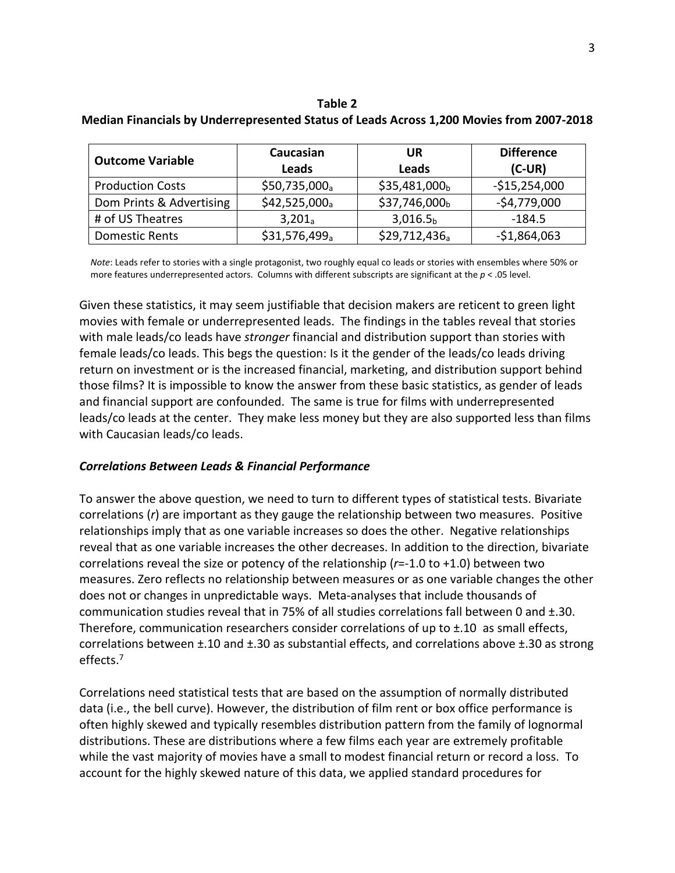**Table 2 Median Financials by Underrepresented Status of Leads Across 1,200 Movies from 2007-2018**

| <b>Outcome Variable</b>  | Caucasian<br>Leads        | UR<br><b>Leads</b>        | <b>Difference</b><br>$(C-UR)$ |
|--------------------------|---------------------------|---------------------------|-------------------------------|
| <b>Production Costs</b>  | \$50,735,000 <sub>a</sub> | \$35,481,000 <sub>b</sub> | $-$15,254,000$                |
| Dom Prints & Advertising | $$42,525,000_a$           | \$37,746,000b             | $-54,779,000$                 |
| # of US Theatres         | $3,201_a$                 | 3,016.5 <sub>b</sub>      | $-184.5$                      |
| <b>Domestic Rents</b>    | $$31,576,499_a$           | $$29,712,436_a$           | $-$1,864,063$                 |

 *Note*: Leads refer to stories with a single protagonist, two roughly equal co leads or stories with ensembles where 50% or more features underrepresented actors. Columns with different subscripts are significant at the *p* < .05 level.

Given these statistics, it may seem justifiable that decision makers are reticent to green light movies with female or underrepresented leads. The findings in the tables reveal that stories with male leads/co leads have *stronger* financial and distribution support than stories with female leads/co leads. This begs the question: Is it the gender of the leads/co leads driving return on investment or is the increased financial, marketing, and distribution support behind those films? It is impossible to know the answer from these basic statistics, as gender of leads and financial support are confounded. The same is true for films with underrepresented leads/co leads at the center. They make less money but they are also supported less than films with Caucasian leads/co leads.

### *Correlations Between Leads & Financial Performance*

To answer the above question, we need to turn to different types of statistical tests. Bivariate correlations (*r*) are important as they gauge the relationship between two measures. Positive relationships imply that as one variable increases so does the other. Negative relationships reveal that as one variable increases the other decreases. In addition to the direction, bivariate correlations reveal the size or potency of the relationship (*r*=-1.0 to +1.0) between two measures. Zero reflects no relationship between measures or as one variable changes the other does not or changes in unpredictable ways. Meta-analyses that include thousands of communication studies reveal that in 75% of all studies correlations fall between 0 and ±.30. Therefore, communication researchers consider correlations of up to ±.10 as small effects, correlations between ±.10 and ±.30 as substantial effects, and correlations above ±.30 as strong effects.7

Correlations need statistical tests that are based on the assumption of normally distributed data (i.e., the bell curve). However, the distribution of film rent or box office performance is often highly skewed and typically resembles distribution pattern from the family of lognormal distributions. These are distributions where a few films each year are extremely profitable while the vast majority of movies have a small to modest financial return or record a loss. To account for the highly skewed nature of this data, we applied standard procedures for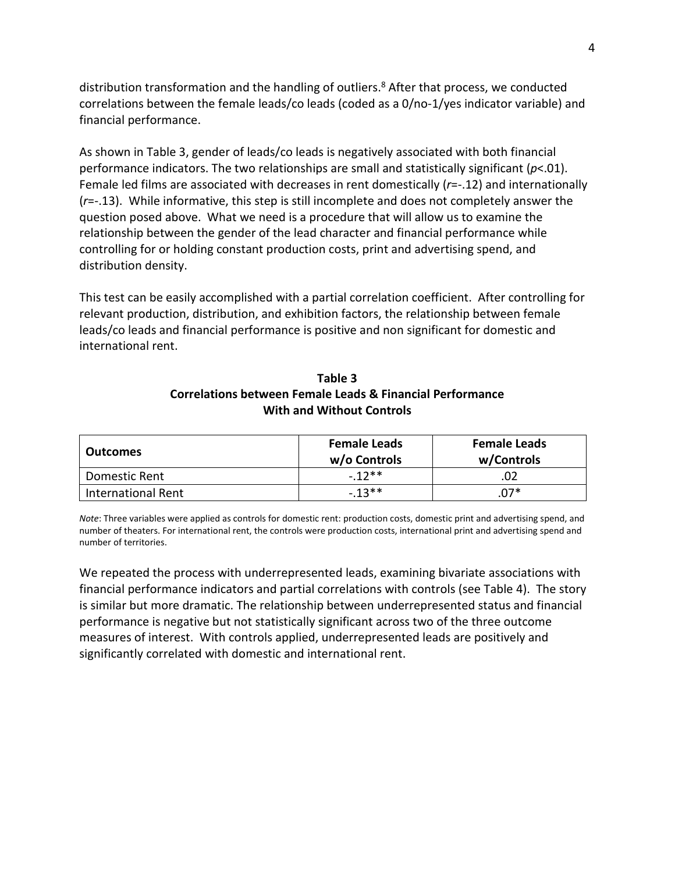distribution transformation and the handling of outliers.<sup>8</sup> After that process, we conducted correlations between the female leads/co leads (coded as a 0/no-1/yes indicator variable) and financial performance.

As shown in Table 3, gender of leads/co leads is negatively associated with both financial performance indicators. The two relationships are small and statistically significant (*p*<.01). Female led films are associated with decreases in rent domestically (*r*=-.12) and internationally (*r*=-.13). While informative, this step is still incomplete and does not completely answer the question posed above. What we need is a procedure that will allow us to examine the relationship between the gender of the lead character and financial performance while controlling for or holding constant production costs, print and advertising spend, and distribution density.

This test can be easily accomplished with a partial correlation coefficient. After controlling for relevant production, distribution, and exhibition factors, the relationship between female leads/co leads and financial performance is positive and non significant for domestic and international rent.

| Table 3                                                   |  |  |  |  |
|-----------------------------------------------------------|--|--|--|--|
| Correlations between Female Leads & Financial Performance |  |  |  |  |
| <b>With and Without Controls</b>                          |  |  |  |  |

| <b>Outcomes</b>           | <b>Female Leads</b><br>w/o Controls | <b>Female Leads</b><br>w/Controls |
|---------------------------|-------------------------------------|-----------------------------------|
| Domestic Rent             | $-12**$                             |                                   |
| <b>International Rent</b> | $-13**$                             | 07*                               |

*Note*: Three variables were applied as controls for domestic rent: production costs, domestic print and advertising spend, and number of theaters. For international rent, the controls were production costs, international print and advertising spend and number of territories.

We repeated the process with underrepresented leads, examining bivariate associations with financial performance indicators and partial correlations with controls (see Table 4). The story is similar but more dramatic. The relationship between underrepresented status and financial performance is negative but not statistically significant across two of the three outcome measures of interest. With controls applied, underrepresented leads are positively and significantly correlated with domestic and international rent.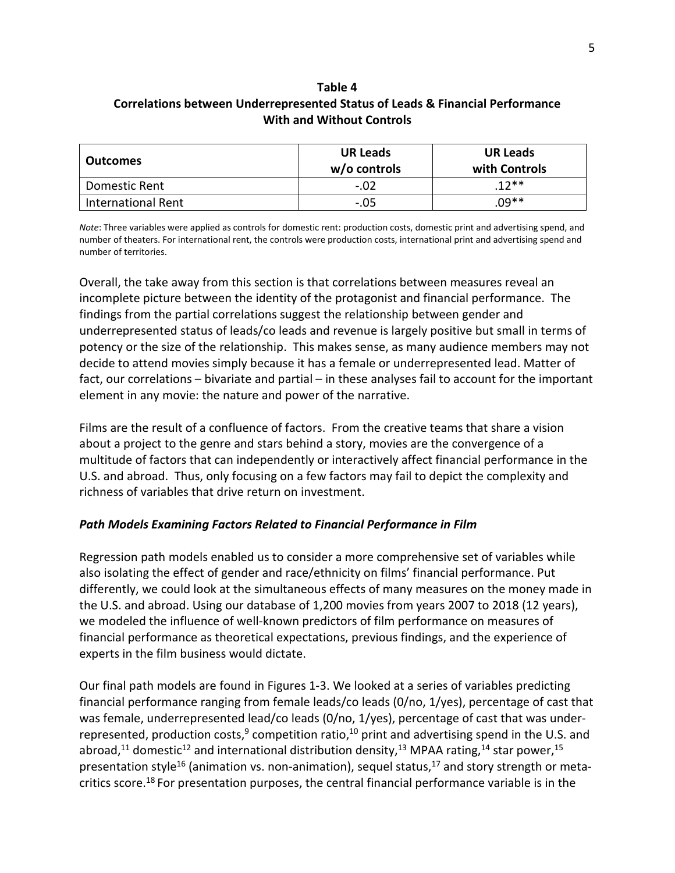# **Table 4 Correlations between Underrepresented Status of Leads & Financial Performance With and Without Controls**

| <b>Outcomes</b>           | <b>UR Leads</b><br>$w/o$ controls | <b>UR Leads</b><br>with Controls |
|---------------------------|-----------------------------------|----------------------------------|
| Domestic Rent             | $-.02$                            | $12**$                           |
| <b>International Rent</b> | $-.05$                            | .በዓ**                            |

*Note*: Three variables were applied as controls for domestic rent: production costs, domestic print and advertising spend, and number of theaters. For international rent, the controls were production costs, international print and advertising spend and number of territories.

Overall, the take away from this section is that correlations between measures reveal an incomplete picture between the identity of the protagonist and financial performance. The findings from the partial correlations suggest the relationship between gender and underrepresented status of leads/co leads and revenue is largely positive but small in terms of potency or the size of the relationship. This makes sense, as many audience members may not decide to attend movies simply because it has a female or underrepresented lead. Matter of fact, our correlations – bivariate and partial – in these analyses fail to account for the important element in any movie: the nature and power of the narrative.

Films are the result of a confluence of factors. From the creative teams that share a vision about a project to the genre and stars behind a story, movies are the convergence of a multitude of factors that can independently or interactively affect financial performance in the U.S. and abroad. Thus, only focusing on a few factors may fail to depict the complexity and richness of variables that drive return on investment.

# *Path Models Examining Factors Related to Financial Performance in Film*

Regression path models enabled us to consider a more comprehensive set of variables while also isolating the effect of gender and race/ethnicity on films' financial performance. Put differently, we could look at the simultaneous effects of many measures on the money made in the U.S. and abroad. Using our database of 1,200 movies from years 2007 to 2018 (12 years), we modeled the influence of well-known predictors of film performance on measures of financial performance as theoretical expectations, previous findings, and the experience of experts in the film business would dictate.

Our final path models are found in Figures 1-3. We looked at a series of variables predicting financial performance ranging from female leads/co leads (0/no, 1/yes), percentage of cast that was female, underrepresented lead/co leads (0/no, 1/yes), percentage of cast that was underrepresented, production costs, $9$  competition ratio, $10$  print and advertising spend in the U.S. and abroad,<sup>11</sup> domestic<sup>12</sup> and international distribution density,<sup>13</sup> MPAA rating,<sup>14</sup> star power,<sup>15</sup> presentation style<sup>16</sup> (animation vs. non-animation), sequel status,<sup>17</sup> and story strength or metacritics score.18 For presentation purposes, the central financial performance variable is in the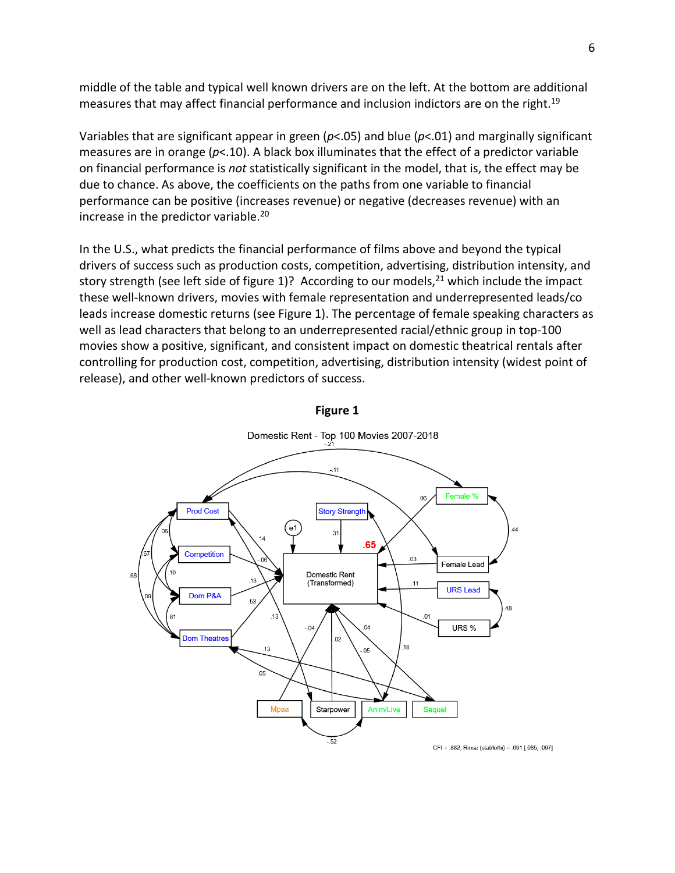middle of the table and typical well known drivers are on the left. At the bottom are additional measures that may affect financial performance and inclusion indictors are on the right.19

Variables that are significant appear in green (*p*<.05) and blue (*p*<.01) and marginally significant measures are in orange (*p*<.10). A black box illuminates that the effect of a predictor variable on financial performance is *not* statistically significant in the model, that is, the effect may be due to chance. As above, the coefficients on the paths from one variable to financial performance can be positive (increases revenue) or negative (decreases revenue) with an increase in the predictor variable.<sup>20</sup>

In the U.S., what predicts the financial performance of films above and beyond the typical drivers of success such as production costs, competition, advertising, distribution intensity, and story strength (see left side of figure 1)? According to our models, $^{21}$  which include the impact these well-known drivers, movies with female representation and underrepresented leads/co leads increase domestic returns (see Figure 1). The percentage of female speaking characters as well as lead characters that belong to an underrepresented racial/ethnic group in top-100 movies show a positive, significant, and consistent impact on domestic theatrical rentals after controlling for production cost, competition, advertising, distribution intensity (widest point of release), and other well-known predictors of success.



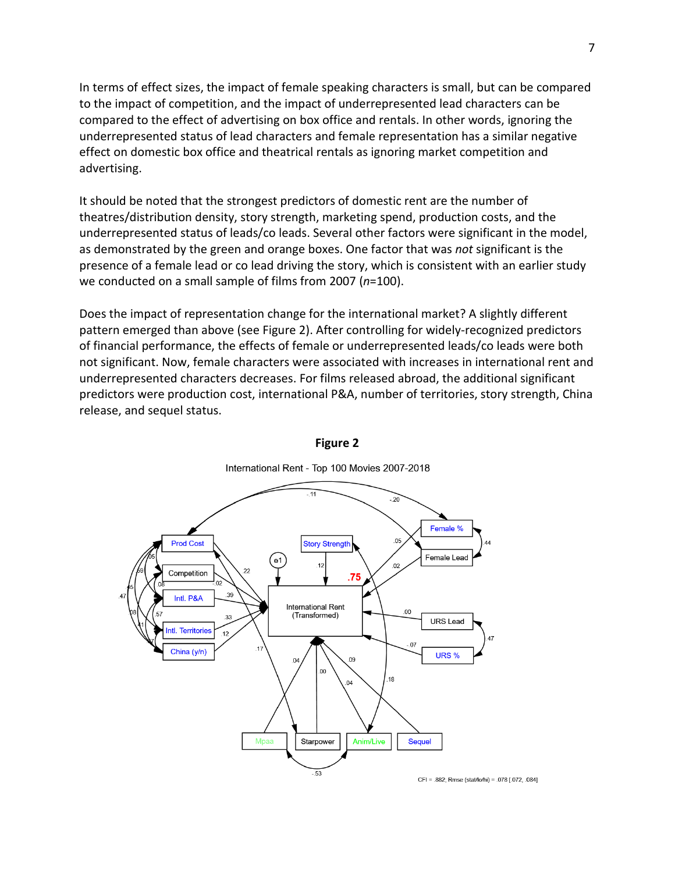In terms of effect sizes, the impact of female speaking characters is small, but can be compared to the impact of competition, and the impact of underrepresented lead characters can be compared to the effect of advertising on box office and rentals. In other words, ignoring the underrepresented status of lead characters and female representation has a similar negative effect on domestic box office and theatrical rentals as ignoring market competition and advertising.

It should be noted that the strongest predictors of domestic rent are the number of theatres/distribution density, story strength, marketing spend, production costs, and the underrepresented status of leads/co leads. Several other factors were significant in the model, as demonstrated by the green and orange boxes. One factor that was *not* significant is the presence of a female lead or co lead driving the story, which is consistent with an earlier study we conducted on a small sample of films from 2007 (*n*=100).

Does the impact of representation change for the international market? A slightly different pattern emerged than above (see Figure 2). After controlling for widely-recognized predictors of financial performance, the effects of female or underrepresented leads/co leads were both not significant. Now, female characters were associated with increases in international rent and underrepresented characters decreases. For films released abroad, the additional significant predictors were production cost, international P&A, number of territories, story strength, China release, and sequel status.



### **Figure 2**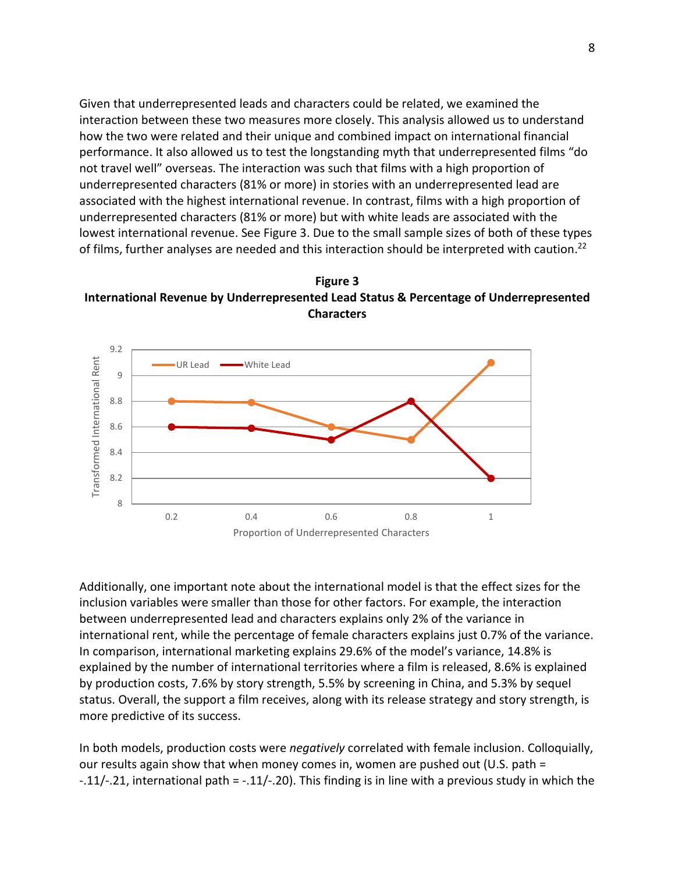Given that underrepresented leads and characters could be related, we examined the interaction between these two measures more closely. This analysis allowed us to understand how the two were related and their unique and combined impact on international financial performance. It also allowed us to test the longstanding myth that underrepresented films "do not travel well" overseas. The interaction was such that films with a high proportion of underrepresented characters (81% or more) in stories with an underrepresented lead are associated with the highest international revenue. In contrast, films with a high proportion of underrepresented characters (81% or more) but with white leads are associated with the lowest international revenue. See Figure 3. Due to the small sample sizes of both of these types of films, further analyses are needed and this interaction should be interpreted with caution.<sup>22</sup>





Additionally, one important note about the international model is that the effect sizes for the inclusion variables were smaller than those for other factors. For example, the interaction between underrepresented lead and characters explains only 2% of the variance in international rent, while the percentage of female characters explains just 0.7% of the variance. In comparison, international marketing explains 29.6% of the model's variance, 14.8% is explained by the number of international territories where a film is released, 8.6% is explained by production costs, 7.6% by story strength, 5.5% by screening in China, and 5.3% by sequel status. Overall, the support a film receives, along with its release strategy and story strength, is more predictive of its success.

In both models, production costs were *negatively* correlated with female inclusion. Colloquially, our results again show that when money comes in, women are pushed out (U.S. path = -.11/-.21, international path = -.11/-.20). This finding is in line with a previous study in which the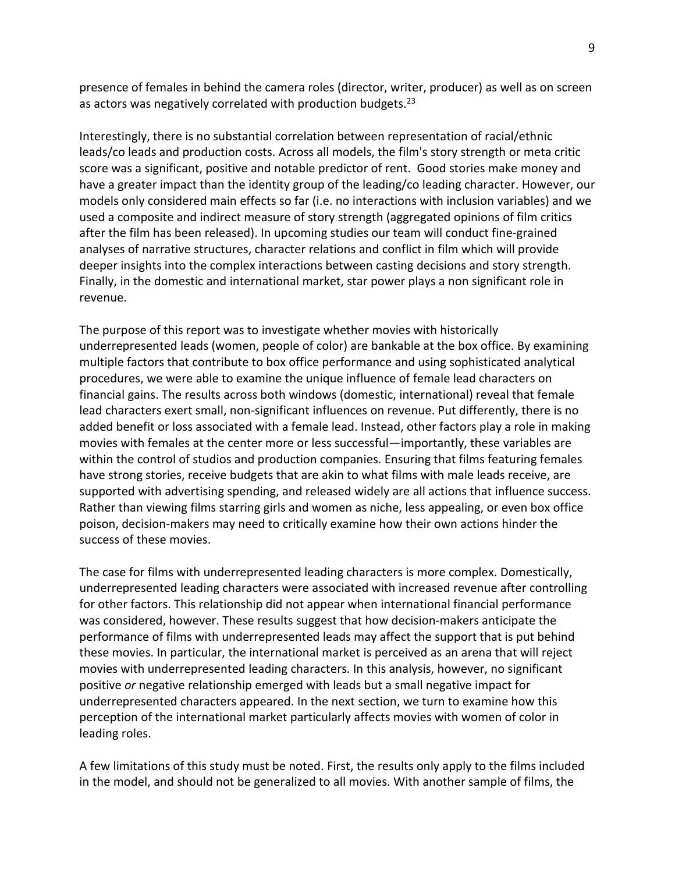presence of females in behind the camera roles (director, writer, producer) as well as on screen as actors was negatively correlated with production budgets.<sup>23</sup>

Interestingly, there is no substantial correlation between representation of racial/ethnic leads/co leads and production costs. Across all models, the film's story strength or meta critic score was a significant, positive and notable predictor of rent. Good stories make money and have a greater impact than the identity group of the leading/co leading character. However, our models only considered main effects so far (i.e. no interactions with inclusion variables) and we used a composite and indirect measure of story strength (aggregated opinions of film critics after the film has been released). In upcoming studies our team will conduct fine-grained analyses of narrative structures, character relations and conflict in film which will provide deeper insights into the complex interactions between casting decisions and story strength. Finally, in the domestic and international market, star power plays a non significant role in revenue.

The purpose of this report was to investigate whether movies with historically underrepresented leads (women, people of color) are bankable at the box office. By examining multiple factors that contribute to box office performance and using sophisticated analytical procedures, we were able to examine the unique influence of female lead characters on financial gains. The results across both windows (domestic, international) reveal that female lead characters exert small, non-significant influences on revenue. Put differently, there is no added benefit or loss associated with a female lead. Instead, other factors play a role in making movies with females at the center more or less successful—importantly, these variables are within the control of studios and production companies. Ensuring that films featuring females have strong stories, receive budgets that are akin to what films with male leads receive, are supported with advertising spending, and released widely are all actions that influence success. Rather than viewing films starring girls and women as niche, less appealing, or even box office poison, decision-makers may need to critically examine how their own actions hinder the success of these movies.

The case for films with underrepresented leading characters is more complex. Domestically, underrepresented leading characters were associated with increased revenue after controlling for other factors. This relationship did not appear when international financial performance was considered, however. These results suggest that how decision-makers anticipate the performance of films with underrepresented leads may affect the support that is put behind these movies. In particular, the international market is perceived as an arena that will reject movies with underrepresented leading characters. In this analysis, however, no significant positive *or* negative relationship emerged with leads but a small negative impact for underrepresented characters appeared. In the next section, we turn to examine how this perception of the international market particularly affects movies with women of color in leading roles.

A few limitations of this study must be noted. First, the results only apply to the films included in the model, and should not be generalized to all movies. With another sample of films, the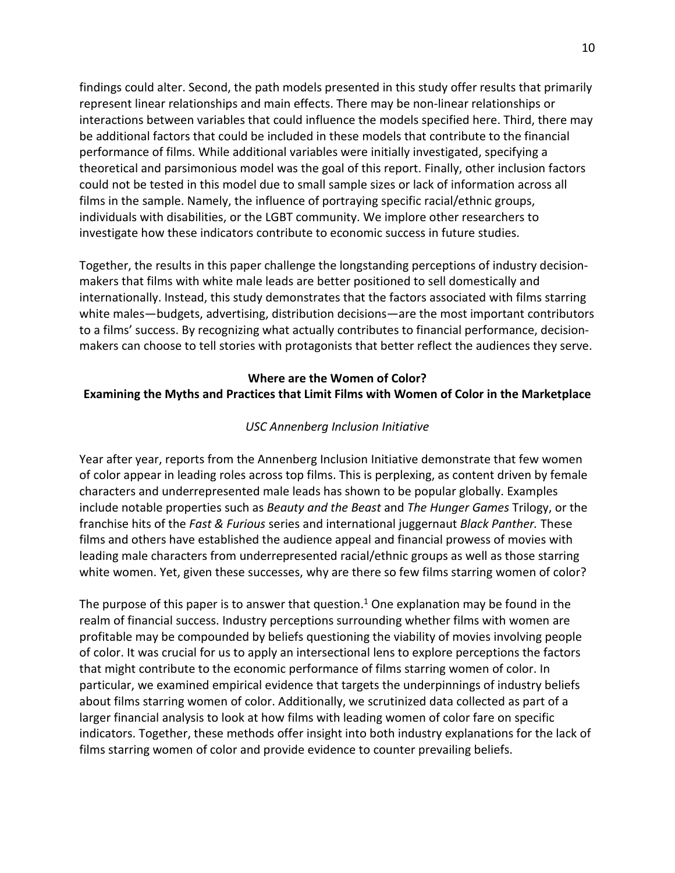findings could alter. Second, the path models presented in this study offer results that primarily represent linear relationships and main effects. There may be non-linear relationships or interactions between variables that could influence the models specified here. Third, there may be additional factors that could be included in these models that contribute to the financial performance of films. While additional variables were initially investigated, specifying a theoretical and parsimonious model was the goal of this report. Finally, other inclusion factors could not be tested in this model due to small sample sizes or lack of information across all films in the sample. Namely, the influence of portraying specific racial/ethnic groups, individuals with disabilities, or the LGBT community. We implore other researchers to investigate how these indicators contribute to economic success in future studies.

Together, the results in this paper challenge the longstanding perceptions of industry decisionmakers that films with white male leads are better positioned to sell domestically and internationally. Instead, this study demonstrates that the factors associated with films starring white males—budgets, advertising, distribution decisions—are the most important contributors to a films' success. By recognizing what actually contributes to financial performance, decisionmakers can choose to tell stories with protagonists that better reflect the audiences they serve.

# **Where are the Women of Color? Examining the Myths and Practices that Limit Films with Women of Color in the Marketplace**

## *USC Annenberg Inclusion Initiative*

Year after year, reports from the Annenberg Inclusion Initiative demonstrate that few women of color appear in leading roles across top films. This is perplexing, as content driven by female characters and underrepresented male leads has shown to be popular globally. Examples include notable properties such as *Beauty and the Beast* and *The Hunger Games* Trilogy, or the franchise hits of the *Fast & Furious* series and international juggernaut *Black Panther.* These films and others have established the audience appeal and financial prowess of movies with leading male characters from underrepresented racial/ethnic groups as well as those starring white women. Yet, given these successes, why are there so few films starring women of color?

The purpose of this paper is to answer that question.<sup>1</sup> One explanation may be found in the realm of financial success. Industry perceptions surrounding whether films with women are profitable may be compounded by beliefs questioning the viability of movies involving people of color. It was crucial for us to apply an intersectional lens to explore perceptions the factors that might contribute to the economic performance of films starring women of color. In particular, we examined empirical evidence that targets the underpinnings of industry beliefs about films starring women of color. Additionally, we scrutinized data collected as part of a larger financial analysis to look at how films with leading women of color fare on specific indicators. Together, these methods offer insight into both industry explanations for the lack of films starring women of color and provide evidence to counter prevailing beliefs.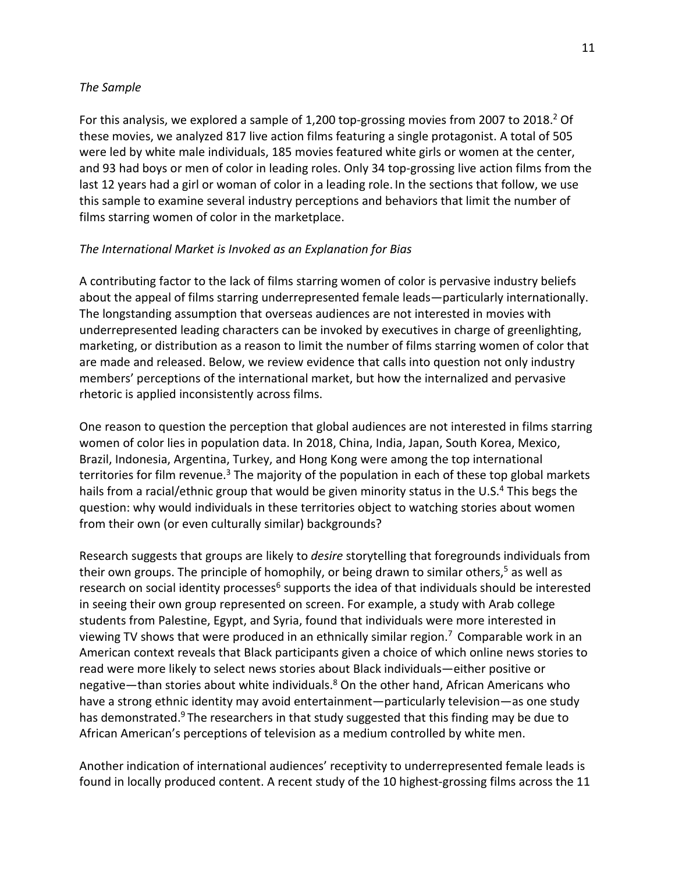## *The Sample*

For this analysis, we explored a sample of 1,200 top-grossing movies from 2007 to 2018.<sup>2</sup> Of these movies, we analyzed 817 live action films featuring a single protagonist. A total of 505 were led by white male individuals, 185 movies featured white girls or women at the center, and 93 had boys or men of color in leading roles. Only 34 top-grossing live action films from the last 12 years had a girl or woman of color in a leading role. In the sections that follow, we use this sample to examine several industry perceptions and behaviors that limit the number of films starring women of color in the marketplace.

## *The International Market is Invoked as an Explanation for Bias*

A contributing factor to the lack of films starring women of color is pervasive industry beliefs about the appeal of films starring underrepresented female leads—particularly internationally. The longstanding assumption that overseas audiences are not interested in movies with underrepresented leading characters can be invoked by executives in charge of greenlighting, marketing, or distribution as a reason to limit the number of films starring women of color that are made and released. Below, we review evidence that calls into question not only industry members' perceptions of the international market, but how the internalized and pervasive rhetoric is applied inconsistently across films.

One reason to question the perception that global audiences are not interested in films starring women of color lies in population data. In 2018, China, India, Japan, South Korea, Mexico, Brazil, Indonesia, Argentina, Turkey, and Hong Kong were among the top international territories for film revenue.<sup>3</sup> The majority of the population in each of these top global markets hails from a racial/ethnic group that would be given minority status in the U.S.<sup>4</sup> This begs the question: why would individuals in these territories object to watching stories about women from their own (or even culturally similar) backgrounds?

Research suggests that groups are likely to *desire* storytelling that foregrounds individuals from their own groups. The principle of homophily, or being drawn to similar others,<sup>5</sup> as well as research on social identity processes<sup>6</sup> supports the idea of that individuals should be interested in seeing their own group represented on screen. For example, a study with Arab college students from Palestine, Egypt, and Syria, found that individuals were more interested in viewing TV shows that were produced in an ethnically similar region.<sup>7</sup> Comparable work in an American context reveals that Black participants given a choice of which online news stories to read were more likely to select news stories about Black individuals—either positive or negative—than stories about white individuals.<sup>8</sup> On the other hand, African Americans who have a strong ethnic identity may avoid entertainment—particularly television—as one study has demonstrated.<sup>9</sup> The researchers in that study suggested that this finding may be due to African American's perceptions of television as a medium controlled by white men.

Another indication of international audiences' receptivity to underrepresented female leads is found in locally produced content. A recent study of the 10 highest-grossing films across the 11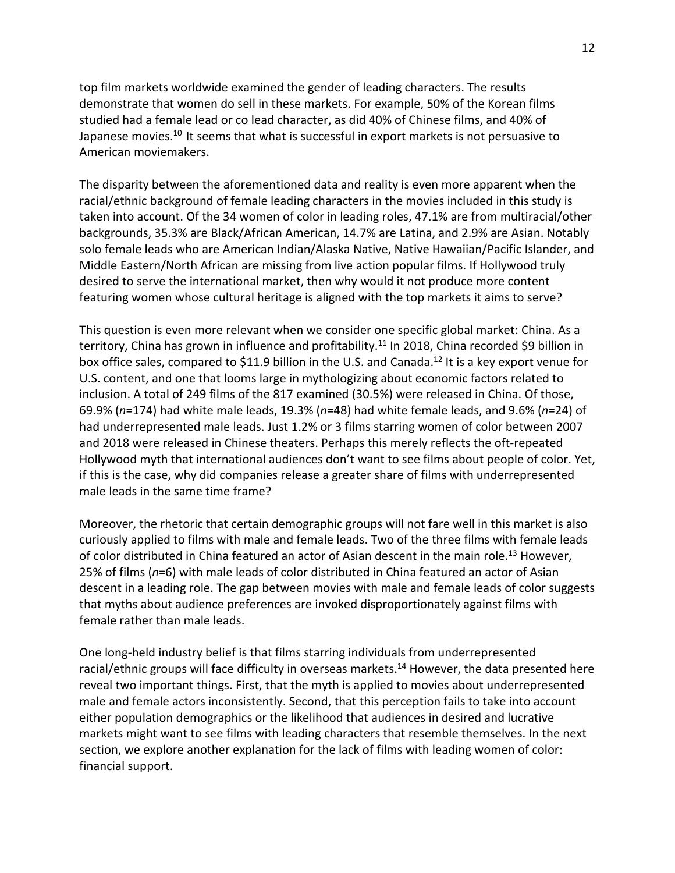top film markets worldwide examined the gender of leading characters. The results demonstrate that women do sell in these markets. For example, 50% of the Korean films studied had a female lead or co lead character, as did 40% of Chinese films, and 40% of Japanese movies.<sup>10</sup> It seems that what is successful in export markets is not persuasive to American moviemakers.

The disparity between the aforementioned data and reality is even more apparent when the racial/ethnic background of female leading characters in the movies included in this study is taken into account. Of the 34 women of color in leading roles, 47.1% are from multiracial/other backgrounds, 35.3% are Black/African American, 14.7% are Latina, and 2.9% are Asian. Notably solo female leads who are American Indian/Alaska Native, Native Hawaiian/Pacific Islander, and Middle Eastern/North African are missing from live action popular films. If Hollywood truly desired to serve the international market, then why would it not produce more content featuring women whose cultural heritage is aligned with the top markets it aims to serve?

This question is even more relevant when we consider one specific global market: China. As a territory, China has grown in influence and profitability.<sup>11</sup> In 2018, China recorded \$9 billion in box office sales, compared to \$11.9 billion in the U.S. and Canada.<sup>12</sup> It is a key export venue for U.S. content, and one that looms large in mythologizing about economic factors related to inclusion. A total of 249 films of the 817 examined (30.5%) were released in China. Of those, 69.9% (*n*=174) had white male leads, 19.3% (*n*=48) had white female leads, and 9.6% (*n*=24) of had underrepresented male leads. Just 1.2% or 3 films starring women of color between 2007 and 2018 were released in Chinese theaters. Perhaps this merely reflects the oft-repeated Hollywood myth that international audiences don't want to see films about people of color. Yet, if this is the case, why did companies release a greater share of films with underrepresented male leads in the same time frame?

Moreover, the rhetoric that certain demographic groups will not fare well in this market is also curiously applied to films with male and female leads. Two of the three films with female leads of color distributed in China featured an actor of Asian descent in the main role.<sup>13</sup> However, 25% of films (*n*=6) with male leads of color distributed in China featured an actor of Asian descent in a leading role. The gap between movies with male and female leads of color suggests that myths about audience preferences are invoked disproportionately against films with female rather than male leads.

One long-held industry belief is that films starring individuals from underrepresented racial/ethnic groups will face difficulty in overseas markets.<sup>14</sup> However, the data presented here reveal two important things. First, that the myth is applied to movies about underrepresented male and female actors inconsistently. Second, that this perception fails to take into account either population demographics or the likelihood that audiences in desired and lucrative markets might want to see films with leading characters that resemble themselves. In the next section, we explore another explanation for the lack of films with leading women of color: financial support.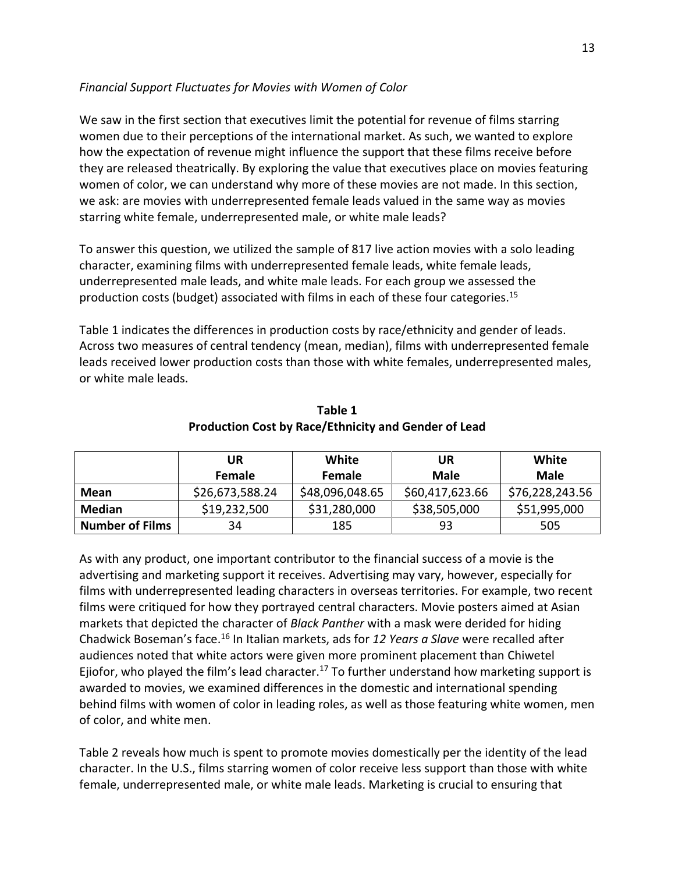# *Financial Support Fluctuates for Movies with Women of Color*

We saw in the first section that executives limit the potential for revenue of films starring women due to their perceptions of the international market. As such, we wanted to explore how the expectation of revenue might influence the support that these films receive before they are released theatrically. By exploring the value that executives place on movies featuring women of color, we can understand why more of these movies are not made. In this section, we ask: are movies with underrepresented female leads valued in the same way as movies starring white female, underrepresented male, or white male leads?

To answer this question, we utilized the sample of 817 live action movies with a solo leading character, examining films with underrepresented female leads, white female leads, underrepresented male leads, and white male leads. For each group we assessed the production costs (budget) associated with films in each of these four categories.15

Table 1 indicates the differences in production costs by race/ethnicity and gender of leads. Across two measures of central tendency (mean, median), films with underrepresented female leads received lower production costs than those with white females, underrepresented males, or white male leads.

|                        | UR              | White           | UR              | White           |
|------------------------|-----------------|-----------------|-----------------|-----------------|
|                        | <b>Female</b>   | <b>Female</b>   | <b>Male</b>     | <b>Male</b>     |
| Mean                   | \$26,673,588.24 | \$48,096,048.65 | \$60,417,623.66 | \$76,228,243.56 |
| <b>Median</b>          | \$19,232,500    | \$31,280,000    | \$38,505,000    | \$51,995,000    |
| <b>Number of Films</b> | 34              | 185             | 93              | 505             |

**Table 1 Production Cost by Race/Ethnicity and Gender of Lead**

As with any product, one important contributor to the financial success of a movie is the advertising and marketing support it receives. Advertising may vary, however, especially for films with underrepresented leading characters in overseas territories. For example, two recent films were critiqued for how they portrayed central characters. Movie posters aimed at Asian markets that depicted the character of *Black Panther* with a mask were derided for hiding Chadwick Boseman's face.16 In Italian markets, ads for *12 Years a Slave* were recalled after audiences noted that white actors were given more prominent placement than Chiwetel Ejiofor, who played the film's lead character.<sup>17</sup> To further understand how marketing support is awarded to movies, we examined differences in the domestic and international spending behind films with women of color in leading roles, as well as those featuring white women, men of color, and white men.

Table 2 reveals how much is spent to promote movies domestically per the identity of the lead character. In the U.S., films starring women of color receive less support than those with white female, underrepresented male, or white male leads. Marketing is crucial to ensuring that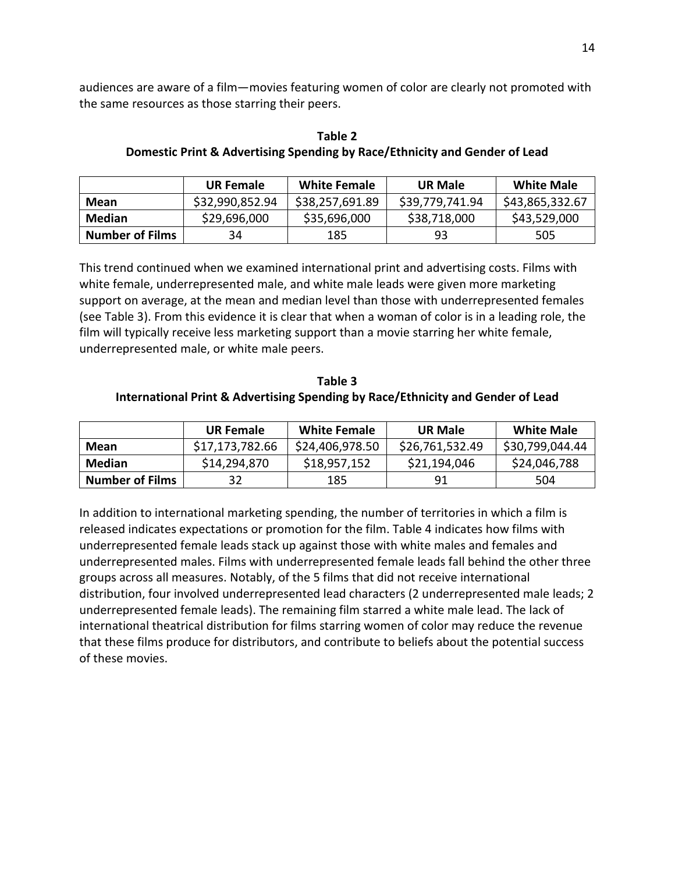audiences are aware of a film—movies featuring women of color are clearly not promoted with the same resources as those starring their peers.

**Table 2**

| Domestic Print & Advertising Spending by Race/Ethnicity and Gender of Lead |                     |                |                   |  |
|----------------------------------------------------------------------------|---------------------|----------------|-------------------|--|
| <b>UR Female</b>                                                           | <b>White Female</b> | <b>UR Male</b> | <b>White Male</b> |  |
|                                                                            |                     |                |                   |  |

|                        | <b>UR Female</b> | <b>White Female</b> | <b>UR Male</b>  | <b>White Male</b> |
|------------------------|------------------|---------------------|-----------------|-------------------|
| Mean                   | \$32,990,852.94  | \$38,257,691.89     | \$39,779,741.94 | \$43,865,332.67   |
| <b>Median</b>          | \$29,696,000     | \$35,696,000        | \$38,718,000    | \$43,529,000      |
| <b>Number of Films</b> | 34               | 185                 | 93              | 505               |

This trend continued when we examined international print and advertising costs. Films with white female, underrepresented male, and white male leads were given more marketing support on average, at the mean and median level than those with underrepresented females (see Table 3). From this evidence it is clear that when a woman of color is in a leading role, the film will typically receive less marketing support than a movie starring her white female, underrepresented male, or white male peers.

**Table 3 International Print & Advertising Spending by Race/Ethnicity and Gender of Lead**

|                        | <b>UR Female</b> | White Female    | <b>UR Male</b>  | <b>White Male</b> |
|------------------------|------------------|-----------------|-----------------|-------------------|
| Mean                   | \$17,173,782.66  | \$24,406,978.50 | \$26,761,532.49 | \$30,799,044.44   |
| Median                 | \$14,294,870     | \$18,957,152    | \$21,194,046    | \$24,046,788      |
| <b>Number of Films</b> | 32               | 185             | 91              | 504               |

In addition to international marketing spending, the number of territories in which a film is released indicates expectations or promotion for the film. Table 4 indicates how films with underrepresented female leads stack up against those with white males and females and underrepresented males. Films with underrepresented female leads fall behind the other three groups across all measures. Notably, of the 5 films that did not receive international distribution, four involved underrepresented lead characters (2 underrepresented male leads; 2 underrepresented female leads). The remaining film starred a white male lead. The lack of international theatrical distribution for films starring women of color may reduce the revenue that these films produce for distributors, and contribute to beliefs about the potential success of these movies.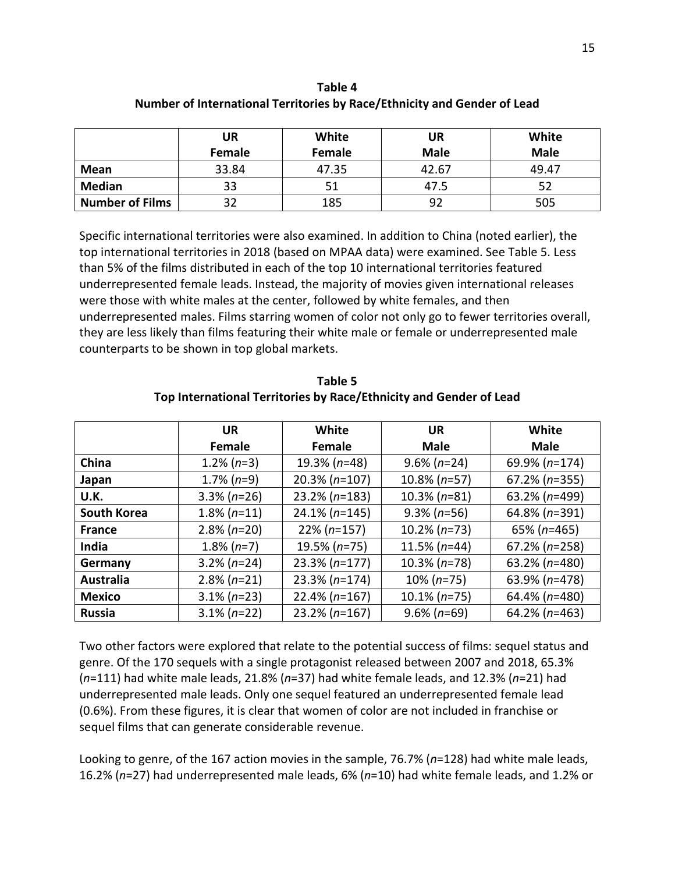|                        | UR     | White  | UR          | White       |
|------------------------|--------|--------|-------------|-------------|
|                        | Female | Female | <b>Male</b> | <b>Male</b> |
| Mean                   | 33.84  | 47.35  | 42.67       | 49.47       |
| <b>Median</b>          | 33     | 51     | 47.5        | 52          |
| <b>Number of Films</b> | 32     | 185    | 92          | 505         |

**Table 4 Number of International Territories by Race/Ethnicity and Gender of Lead**

Specific international territories were also examined. In addition to China (noted earlier), the top international territories in 2018 (based on MPAA data) were examined. See Table 5. Less than 5% of the films distributed in each of the top 10 international territories featured underrepresented female leads. Instead, the majority of movies given international releases were those with white males at the center, followed by white females, and then underrepresented males. Films starring women of color not only go to fewer territories overall, they are less likely than films featuring their white male or female or underrepresented male counterparts to be shown in top global markets.

|                    | <b>UR</b>      | White            | <b>UR</b>       | White            |
|--------------------|----------------|------------------|-----------------|------------------|
|                    | <b>Female</b>  | Female           | <b>Male</b>     | <b>Male</b>      |
| China              | $1.2\%$ (n=3)  | $19.3\% (n=48)$  | $9.6\% (n=24)$  | $69.9\% (n=174)$ |
| Japan              | $1.7\%$ (n=9)  | $20.3\% (n=107)$ | $10.8\% (n=57)$ | $67.2\%$ (n=355) |
| U.K.               | $3.3\% (n=26)$ | $23.2\% (n=183)$ | $10.3\% (n=81)$ | $63.2\%$ (n=499) |
| <b>South Korea</b> | $1.8\%$ (n=11) | $24.1\% (n=145)$ | $9.3\% (n=56)$  | 64.8% (n=391)    |
| <b>France</b>      | $2.8\%$ (n=20) | $22\% (n=157)$   | $10.2\% (n=73)$ | $65\%$ (n=465)   |
| <b>India</b>       | $1.8\%$ (n=7)  | $19.5\% (n=75)$  | $11.5\% (n=44)$ | $67.2\%$ (n=258) |
| Germany            | $3.2\%$ (n=24) | $23.3\% (n=177)$ | $10.3\% (n=78)$ | $63.2\%$ (n=480) |
| <b>Australia</b>   | $2.8\%$ (n=21) | $23.3\% (n=174)$ | $10\% (n=75)$   | $63.9\% (n=478)$ |
| <b>Mexico</b>      | $3.1\% (n=23)$ | $22.4\% (n=167)$ | $10.1\% (n=75)$ | $64.4\%$ (n=480) |
| <b>Russia</b>      | $3.1\% (n=22)$ | $23.2\% (n=167)$ | $9.6\%$ (n=69)  | $64.2\%$ (n=463) |

**Table 5 Top International Territories by Race/Ethnicity and Gender of Lead**

Two other factors were explored that relate to the potential success of films: sequel status and genre. Of the 170 sequels with a single protagonist released between 2007 and 2018, 65.3% (*n*=111) had white male leads, 21.8% (*n*=37) had white female leads, and 12.3% (*n*=21) had underrepresented male leads. Only one sequel featured an underrepresented female lead (0.6%). From these figures, it is clear that women of color are not included in franchise or sequel films that can generate considerable revenue.

Looking to genre, of the 167 action movies in the sample, 76.7% (*n*=128) had white male leads, 16.2% (*n*=27) had underrepresented male leads, 6% (*n*=10) had white female leads, and 1.2% or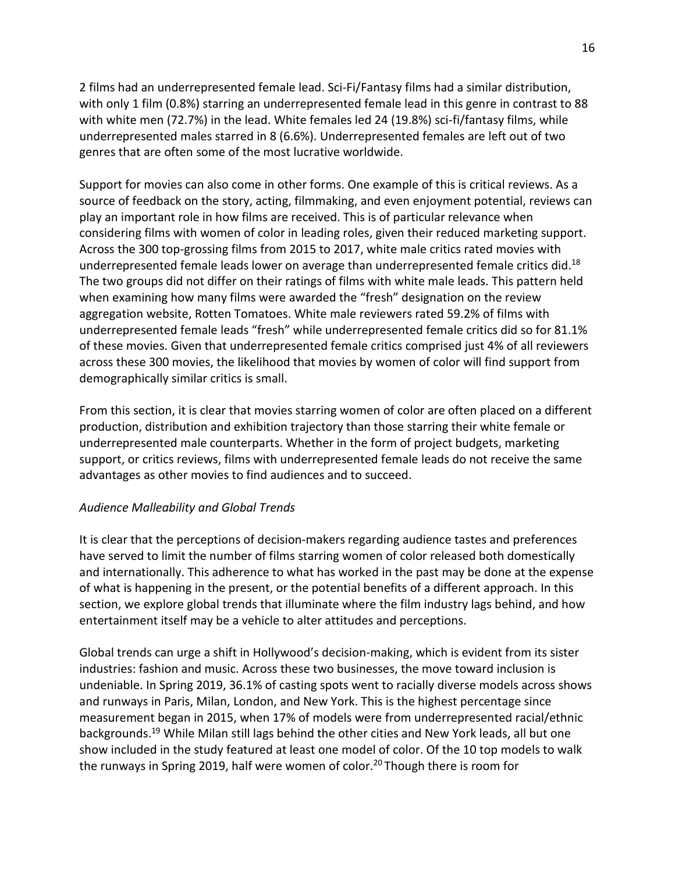2 films had an underrepresented female lead. Sci-Fi/Fantasy films had a similar distribution, with only 1 film (0.8%) starring an underrepresented female lead in this genre in contrast to 88 with white men (72.7%) in the lead. White females led 24 (19.8%) sci-fi/fantasy films, while underrepresented males starred in 8 (6.6%). Underrepresented females are left out of two genres that are often some of the most lucrative worldwide.

Support for movies can also come in other forms. One example of this is critical reviews. As a source of feedback on the story, acting, filmmaking, and even enjoyment potential, reviews can play an important role in how films are received. This is of particular relevance when considering films with women of color in leading roles, given their reduced marketing support. Across the 300 top-grossing films from 2015 to 2017, white male critics rated movies with underrepresented female leads lower on average than underrepresented female critics did.<sup>18</sup> The two groups did not differ on their ratings of films with white male leads. This pattern held when examining how many films were awarded the "fresh" designation on the review aggregation website, Rotten Tomatoes. White male reviewers rated 59.2% of films with underrepresented female leads "fresh" while underrepresented female critics did so for 81.1% of these movies. Given that underrepresented female critics comprised just 4% of all reviewers across these 300 movies, the likelihood that movies by women of color will find support from demographically similar critics is small.

From this section, it is clear that movies starring women of color are often placed on a different production, distribution and exhibition trajectory than those starring their white female or underrepresented male counterparts. Whether in the form of project budgets, marketing support, or critics reviews, films with underrepresented female leads do not receive the same advantages as other movies to find audiences and to succeed.

## *Audience Malleability and Global Trends*

It is clear that the perceptions of decision-makers regarding audience tastes and preferences have served to limit the number of films starring women of color released both domestically and internationally. This adherence to what has worked in the past may be done at the expense of what is happening in the present, or the potential benefits of a different approach. In this section, we explore global trends that illuminate where the film industry lags behind, and how entertainment itself may be a vehicle to alter attitudes and perceptions.

Global trends can urge a shift in Hollywood's decision-making, which is evident from its sister industries: fashion and music. Across these two businesses, the move toward inclusion is undeniable. In Spring 2019, 36.1% of casting spots went to racially diverse models across shows and runways in Paris, Milan, London, and New York. This is the highest percentage since measurement began in 2015, when 17% of models were from underrepresented racial/ethnic backgrounds.19 While Milan still lags behind the other cities and New York leads, all but one show included in the study featured at least one model of color. Of the 10 top models to walk the runways in Spring 2019, half were women of color.<sup>20</sup> Though there is room for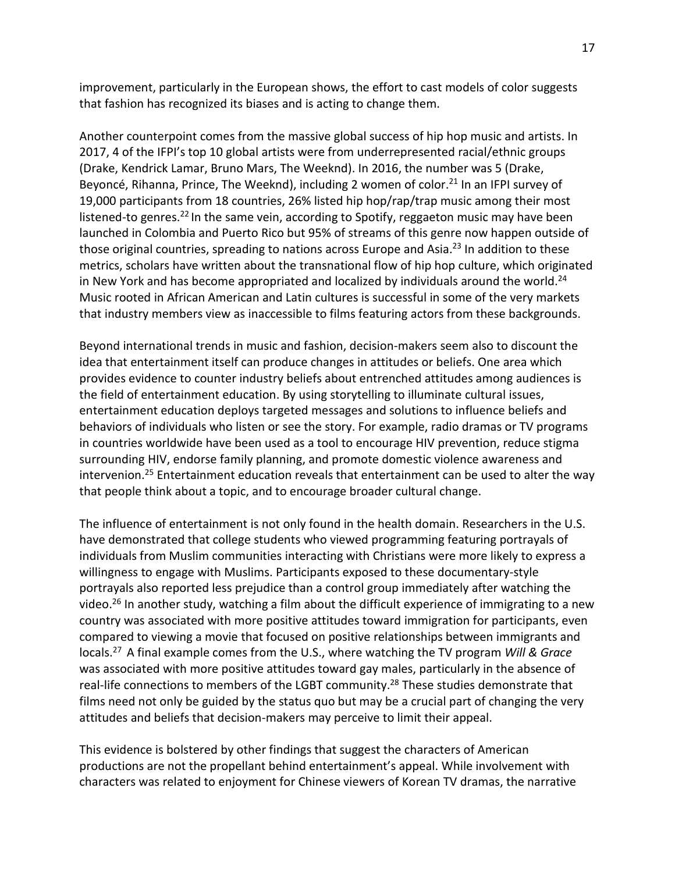improvement, particularly in the European shows, the effort to cast models of color suggests that fashion has recognized its biases and is acting to change them.

Another counterpoint comes from the massive global success of hip hop music and artists. In 2017, 4 of the IFPI's top 10 global artists were from underrepresented racial/ethnic groups (Drake, Kendrick Lamar, Bruno Mars, The Weeknd). In 2016, the number was 5 (Drake, Beyoncé, Rihanna, Prince, The Weeknd), including 2 women of color.<sup>21</sup> In an IFPI survey of 19,000 participants from 18 countries, 26% listed hip hop/rap/trap music among their most listened-to genres.<sup>22</sup> In the same vein, according to Spotify, reggaeton music may have been launched in Colombia and Puerto Rico but 95% of streams of this genre now happen outside of those original countries, spreading to nations across Europe and Asia.<sup>23</sup> In addition to these metrics, scholars have written about the transnational flow of hip hop culture, which originated in New York and has become appropriated and localized by individuals around the world.<sup>24</sup> Music rooted in African American and Latin cultures is successful in some of the very markets that industry members view as inaccessible to films featuring actors from these backgrounds.

Beyond international trends in music and fashion, decision-makers seem also to discount the idea that entertainment itself can produce changes in attitudes or beliefs. One area which provides evidence to counter industry beliefs about entrenched attitudes among audiences is the field of entertainment education. By using storytelling to illuminate cultural issues, entertainment education deploys targeted messages and solutions to influence beliefs and behaviors of individuals who listen or see the story. For example, radio dramas or TV programs in countries worldwide have been used as a tool to encourage HIV prevention, reduce stigma surrounding HIV, endorse family planning, and promote domestic violence awareness and intervenion.<sup>25</sup> Entertainment education reveals that entertainment can be used to alter the way that people think about a topic, and to encourage broader cultural change.

The influence of entertainment is not only found in the health domain. Researchers in the U.S. have demonstrated that college students who viewed programming featuring portrayals of individuals from Muslim communities interacting with Christians were more likely to express a willingness to engage with Muslims. Participants exposed to these documentary-style portrayals also reported less prejudice than a control group immediately after watching the video.<sup>26</sup> In another study, watching a film about the difficult experience of immigrating to a new country was associated with more positive attitudes toward immigration for participants, even compared to viewing a movie that focused on positive relationships between immigrants and locals.27 A final example comes from the U.S., where watching the TV program *Will & Grace* was associated with more positive attitudes toward gay males, particularly in the absence of real-life connections to members of the LGBT community.<sup>28</sup> These studies demonstrate that films need not only be guided by the status quo but may be a crucial part of changing the very attitudes and beliefs that decision-makers may perceive to limit their appeal.

This evidence is bolstered by other findings that suggest the characters of American productions are not the propellant behind entertainment's appeal. While involvement with characters was related to enjoyment for Chinese viewers of Korean TV dramas, the narrative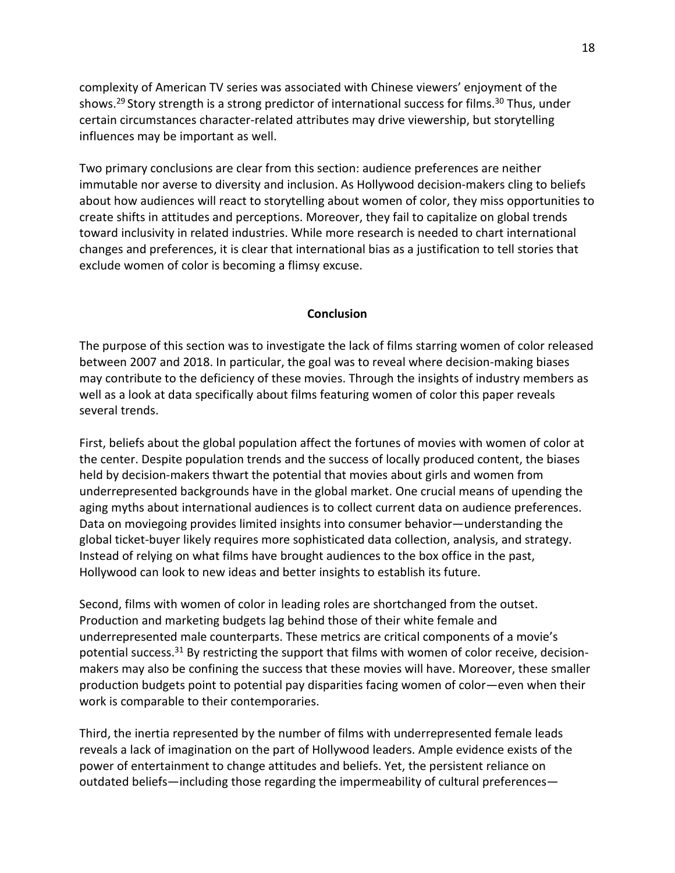complexity of American TV series was associated with Chinese viewers' enjoyment of the shows.<sup>29</sup> Story strength is a strong predictor of international success for films.<sup>30</sup> Thus, under certain circumstances character-related attributes may drive viewership, but storytelling influences may be important as well.

Two primary conclusions are clear from this section: audience preferences are neither immutable nor averse to diversity and inclusion. As Hollywood decision-makers cling to beliefs about how audiences will react to storytelling about women of color, they miss opportunities to create shifts in attitudes and perceptions. Moreover, they fail to capitalize on global trends toward inclusivity in related industries. While more research is needed to chart international changes and preferences, it is clear that international bias as a justification to tell stories that exclude women of color is becoming a flimsy excuse.

#### **Conclusion**

The purpose of this section was to investigate the lack of films starring women of color released between 2007 and 2018. In particular, the goal was to reveal where decision-making biases may contribute to the deficiency of these movies. Through the insights of industry members as well as a look at data specifically about films featuring women of color this paper reveals several trends.

First, beliefs about the global population affect the fortunes of movies with women of color at the center. Despite population trends and the success of locally produced content, the biases held by decision-makers thwart the potential that movies about girls and women from underrepresented backgrounds have in the global market. One crucial means of upending the aging myths about international audiences is to collect current data on audience preferences. Data on moviegoing provides limited insights into consumer behavior—understanding the global ticket-buyer likely requires more sophisticated data collection, analysis, and strategy. Instead of relying on what films have brought audiences to the box office in the past, Hollywood can look to new ideas and better insights to establish its future.

Second, films with women of color in leading roles are shortchanged from the outset. Production and marketing budgets lag behind those of their white female and underrepresented male counterparts. These metrics are critical components of a movie's potential success.<sup>31</sup> By restricting the support that films with women of color receive, decisionmakers may also be confining the success that these movies will have. Moreover, these smaller production budgets point to potential pay disparities facing women of color—even when their work is comparable to their contemporaries.

Third, the inertia represented by the number of films with underrepresented female leads reveals a lack of imagination on the part of Hollywood leaders. Ample evidence exists of the power of entertainment to change attitudes and beliefs. Yet, the persistent reliance on outdated beliefs—including those regarding the impermeability of cultural preferences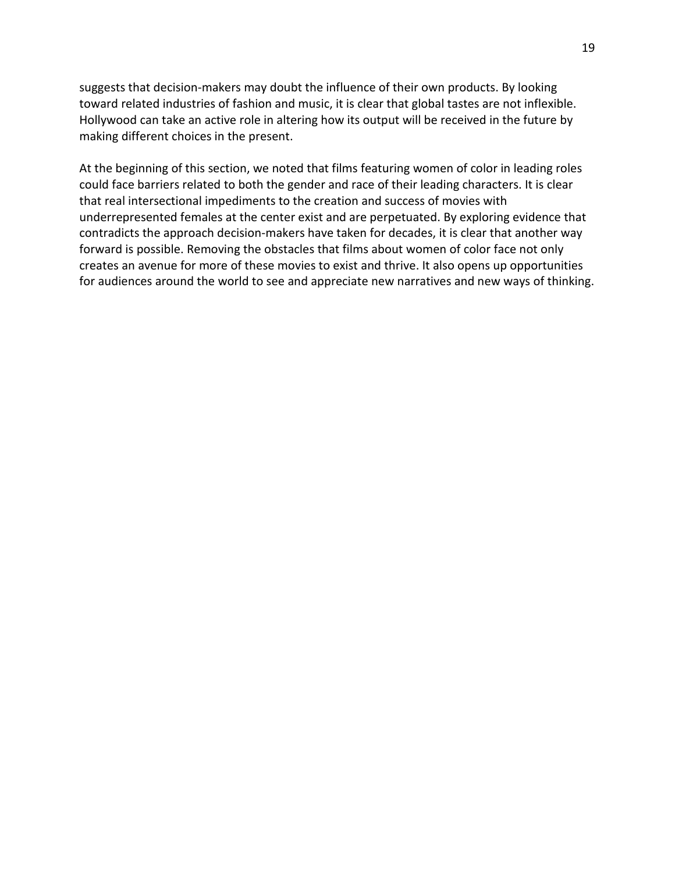suggests that decision-makers may doubt the influence of their own products. By looking toward related industries of fashion and music, it is clear that global tastes are not inflexible. Hollywood can take an active role in altering how its output will be received in the future by making different choices in the present.

At the beginning of this section, we noted that films featuring women of color in leading roles could face barriers related to both the gender and race of their leading characters. It is clear that real intersectional impediments to the creation and success of movies with underrepresented females at the center exist and are perpetuated. By exploring evidence that contradicts the approach decision-makers have taken for decades, it is clear that another way forward is possible. Removing the obstacles that films about women of color face not only creates an avenue for more of these movies to exist and thrive. It also opens up opportunities for audiences around the world to see and appreciate new narratives and new ways of thinking.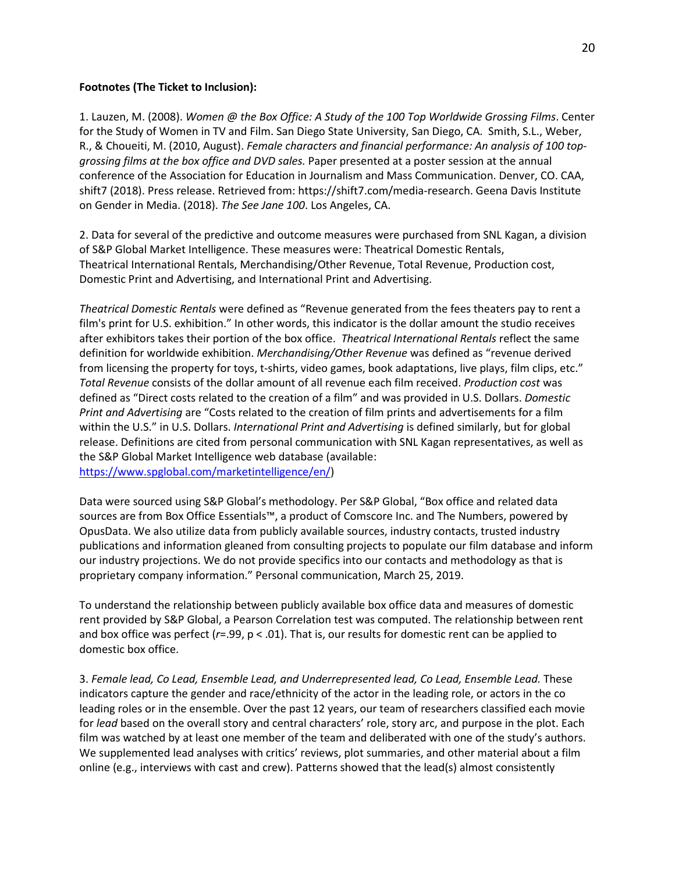#### **Footnotes (The Ticket to Inclusion):**

1. Lauzen, M. (2008). *Women @ the Box Office: A Study of the 100 Top Worldwide Grossing Films*. Center for the Study of Women in TV and Film. San Diego State University, San Diego, CA. Smith, S.L., Weber, R., & Choueiti, M. (2010, August). *Female characters and financial performance: An analysis of 100 topgrossing films at the box office and DVD sales.* Paper presented at a poster session at the annual conference of the Association for Education in Journalism and Mass Communication. Denver, CO. CAA, shift7 (2018). Press release. Retrieved from: https://shift7.com/media-research. Geena Davis Institute on Gender in Media. (2018). *The See Jane 100*. Los Angeles, CA.

2. Data for several of the predictive and outcome measures were purchased from SNL Kagan, a division of S&P Global Market Intelligence. These measures were: Theatrical Domestic Rentals, Theatrical International Rentals, Merchandising/Other Revenue, Total Revenue, Production cost, Domestic Print and Advertising, and International Print and Advertising.

*Theatrical Domestic Rentals* were defined as "Revenue generated from the fees theaters pay to rent a film's print for U.S. exhibition." In other words, this indicator is the dollar amount the studio receives after exhibitors takes their portion of the box office. *Theatrical International Rentals* reflect the same definition for worldwide exhibition. *Merchandising/Other Revenue* was defined as "revenue derived from licensing the property for toys, t-shirts, video games, book adaptations, live plays, film clips, etc." *Total Revenue* consists of the dollar amount of all revenue each film received. *Production cost* was defined as "Direct costs related to the creation of a film" and was provided in U.S. Dollars. *Domestic Print and Advertising* are "Costs related to the creation of film prints and advertisements for a film within the U.S." in U.S. Dollars. *International Print and Advertising* is defined similarly, but for global release. Definitions are cited from personal communication with SNL Kagan representatives, as well as the S&P Global Market Intelligence web database (available: [https://www.spglobal.com/marketintelligence/en/\)](https://www.spglobal.com/marketintelligence/en/)

Data were sourced using S&P Global's methodology. Per S&P Global, "Box office and related data sources are from Box Office Essentials™, a product of Comscore Inc. and The Numbers, powered by OpusData. We also utilize data from publicly available sources, industry contacts, trusted industry publications and information gleaned from consulting projects to populate our film database and inform our industry projections. We do not provide specifics into our contacts and methodology as that is proprietary company information." Personal communication, March 25, 2019.

To understand the relationship between publicly available box office data and measures of domestic rent provided by S&P Global, a Pearson Correlation test was computed. The relationship between rent and box office was perfect (*r*=.99, p < .01). That is, our results for domestic rent can be applied to domestic box office.

3. *Female lead, Co Lead, Ensemble Lead, and Underrepresented lead, Co Lead, Ensemble Lead.* These indicators capture the gender and race/ethnicity of the actor in the leading role, or actors in the co leading roles or in the ensemble. Over the past 12 years, our team of researchers classified each movie for *lead* based on the overall story and central characters' role, story arc, and purpose in the plot. Each film was watched by at least one member of the team and deliberated with one of the study's authors. We supplemented lead analyses with critics' reviews, plot summaries, and other material about a film online (e.g., interviews with cast and crew). Patterns showed that the lead(s) almost consistently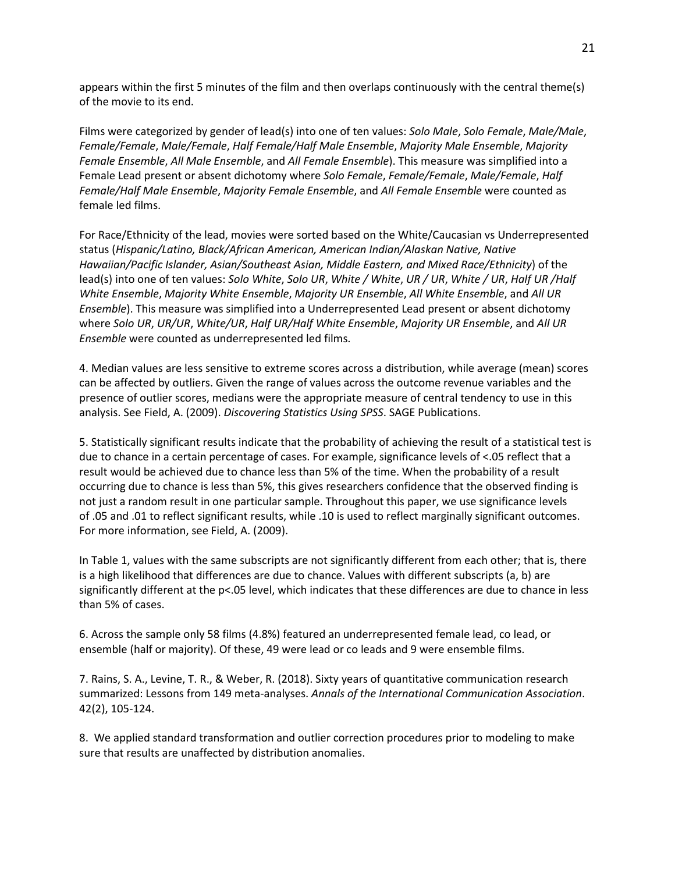appears within the first 5 minutes of the film and then overlaps continuously with the central theme(s) of the movie to its end.

Films were categorized by gender of lead(s) into one of ten values: *Solo Male*, *Solo Female*, *Male/Male*, *Female/Female*, *Male/Female*, *Half Female/Half Male Ensemble*, *Majority Male Ensemble*, *Majority Female Ensemble*, *All Male Ensemble*, and *All Female Ensemble*). This measure was simplified into a Female Lead present or absent dichotomy where *Solo Female*, *Female/Female*, *Male/Female*, *Half Female/Half Male Ensemble*, *Majority Female Ensemble*, and *All Female Ensemble* were counted as female led films.

For Race/Ethnicity of the lead, movies were sorted based on the White/Caucasian vs Underrepresented status (*Hispanic/Latino, Black/African American, American Indian/Alaskan Native, Native Hawaiian/Pacific Islander, Asian/Southeast Asian, Middle Eastern, and Mixed Race/Ethnicity*) of the lead(s) into one of ten values: *Solo White*, *Solo UR*, *White / White*, *UR / UR*, *White / UR*, *Half UR /Half White Ensemble*, *Majority White Ensemble*, *Majority UR Ensemble*, *All White Ensemble*, and *All UR Ensemble*). This measure was simplified into a Underrepresented Lead present or absent dichotomy where *Solo UR*, *UR/UR*, *White/UR*, *Half UR/Half White Ensemble*, *Majority UR Ensemble*, and *All UR Ensemble* were counted as underrepresented led films.

4. Median values are less sensitive to extreme scores across a distribution, while average (mean) scores can be affected by outliers. Given the range of values across the outcome revenue variables and the presence of outlier scores, medians were the appropriate measure of central tendency to use in this analysis. See Field, A. (2009). *Discovering Statistics Using SPSS*. SAGE Publications.

5. Statistically significant results indicate that the probability of achieving the result of a statistical test is due to chance in a certain percentage of cases. For example, significance levels of <.05 reflect that a result would be achieved due to chance less than 5% of the time. When the probability of a result occurring due to chance is less than 5%, this gives researchers confidence that the observed finding is not just a random result in one particular sample. Throughout this paper, we use significance levels of .05 and .01 to reflect significant results, while .10 is used to reflect marginally significant outcomes. For more information, see Field, A. (2009).

In Table 1, values with the same subscripts are not significantly different from each other; that is, there is a high likelihood that differences are due to chance. Values with different subscripts (a, b) are significantly different at the p<.05 level, which indicates that these differences are due to chance in less than 5% of cases.

6. Across the sample only 58 films (4.8%) featured an underrepresented female lead, co lead, or ensemble (half or majority). Of these, 49 were lead or co leads and 9 were ensemble films.

7. Rains, S. A., Levine, T. R., & Weber, R. (2018). Sixty years of quantitative communication research summarized: Lessons from 149 meta-analyses. *Annals of the International Communication Association*. 42(2), 105-124.

8. We applied standard transformation and outlier correction procedures prior to modeling to make sure that results are unaffected by distribution anomalies.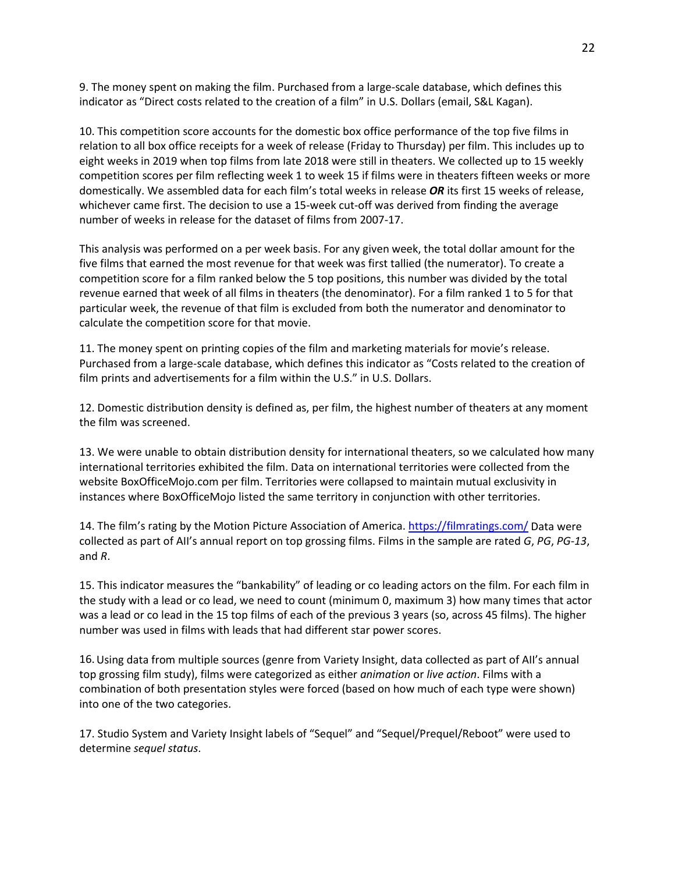9. The money spent on making the film. Purchased from a large-scale database, which defines this indicator as "Direct costs related to the creation of a film" in U.S. Dollars (email, S&L Kagan).

10. This competition score accounts for the domestic box office performance of the top five films in relation to all box office receipts for a week of release (Friday to Thursday) per film. This includes up to eight weeks in 2019 when top films from late 2018 were still in theaters. We collected up to 15 weekly competition scores per film reflecting week 1 to week 15 if films were in theaters fifteen weeks or more domestically. We assembled data for each film's total weeks in release *OR* its first 15 weeks of release, whichever came first. The decision to use a 15-week cut-off was derived from finding the average number of weeks in release for the dataset of films from 2007-17.

This analysis was performed on a per week basis. For any given week, the total dollar amount for the five films that earned the most revenue for that week was first tallied (the numerator). To create a competition score for a film ranked below the 5 top positions, this number was divided by the total revenue earned that week of all films in theaters (the denominator). For a film ranked 1 to 5 for that particular week, the revenue of that film is excluded from both the numerator and denominator to calculate the competition score for that movie.

11. The money spent on printing copies of the film and marketing materials for movie's release. Purchased from a large-scale database, which defines this indicator as "Costs related to the creation of film prints and advertisements for a film within the U.S." in U.S. Dollars.

12. Domestic distribution density is defined as, per film, the highest number of theaters at any moment the film was screened.

13. We were unable to obtain distribution density for international theaters, so we calculated how many international territories exhibited the film. Data on international territories were collected from the website BoxOfficeMojo.com per film. Territories were collapsed to maintain mutual exclusivity in instances where BoxOfficeMojo listed the same territory in conjunction with other territories.

14. The film's rating by the Motion Picture Association of America[. https://filmratings.com/](https://filmratings.com/) Data were collected as part of AII's annual report on top grossing films. Films in the sample are rated *G*, *PG*, *PG-13*, and *R*.

15. This indicator measures the "bankability" of leading or co leading actors on the film. For each film in the study with a lead or co lead, we need to count (minimum 0, maximum 3) how many times that actor was a lead or co lead in the 15 top films of each of the previous 3 years (so, across 45 films). The higher number was used in films with leads that had different star power scores.

16.Using data from multiple sources (genre from Variety Insight, data collected as part of AII's annual top grossing film study), films were categorized as either *animation* or *live action*. Films with a combination of both presentation styles were forced (based on how much of each type were shown) into one of the two categories.

17. Studio System and Variety Insight labels of "Sequel" and "Sequel/Prequel/Reboot" were used to determine *sequel status*.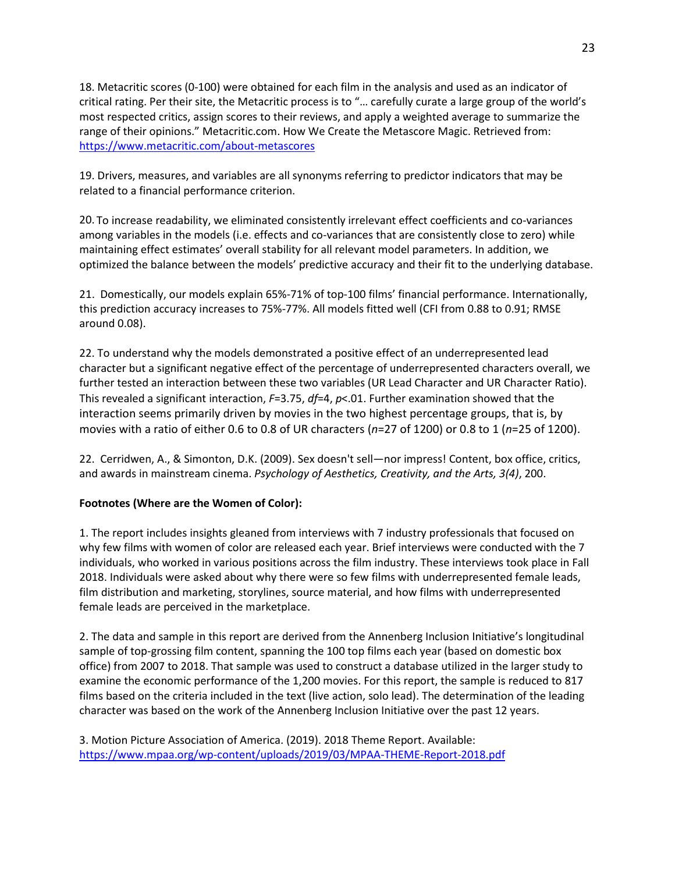18. Metacritic scores (0-100) were obtained for each film in the analysis and used as an indicator of critical rating. Per their site, the Metacritic process is to "… carefully curate a large group of the world's most respected critics, assign scores to their reviews, and apply a weighted average to summarize the range of their opinions." Metacritic.com. How We Create the Metascore Magic. Retrieved from: <https://www.metacritic.com/about-metascores>

19. Drivers, measures, and variables are all synonyms referring to predictor indicators that may be related to a financial performance criterion.

20. To increase readability, we eliminated consistently irrelevant effect coefficients and co-variances among variables in the models (i.e. effects and co-variances that are consistently close to zero) while maintaining effect estimates' overall stability for all relevant model parameters. In addition, we optimized the balance between the models' predictive accuracy and their fit to the underlying database.

21. Domestically, our models explain 65%-71% of top-100 films' financial performance. Internationally, this prediction accuracy increases to 75%-77%. All models fitted well (CFI from 0.88 to 0.91; RMSE around 0.08).

22. To understand why the models demonstrated a positive effect of an underrepresented lead character but a significant negative effect of the percentage of underrepresented characters overall, we further tested an interaction between these two variables (UR Lead Character and UR Character Ratio). This revealed a significant interaction, *F*=3.75, *df*=4, *p*<.01. Further examination showed that the interaction seems primarily driven by movies in the two highest percentage groups, that is, by movies with a ratio of either 0.6 to 0.8 of UR characters (*n*=27 of 1200) or 0.8 to 1 (*n*=25 of 1200).

22. Cerridwen, A., & Simonton, D.K. (2009). Sex doesn't sell—nor impress! Content, box office, critics, and awards in mainstream cinema. *Psychology of Aesthetics, Creativity, and the Arts, 3(4)*, 200.

## **Footnotes (Where are the Women of Color):**

1. The report includes insights gleaned from interviews with 7 industry professionals that focused on why few films with women of color are released each year. Brief interviews were conducted with the 7 individuals, who worked in various positions across the film industry. These interviews took place in Fall 2018. Individuals were asked about why there were so few films with underrepresented female leads, film distribution and marketing, storylines, source material, and how films with underrepresented female leads are perceived in the marketplace.

2. The data and sample in this report are derived from the Annenberg Inclusion Initiative's longitudinal sample of top-grossing film content, spanning the 100 top films each year (based on domestic box office) from 2007 to 2018. That sample was used to construct a database utilized in the larger study to examine the economic performance of the 1,200 movies. For this report, the sample is reduced to 817 films based on the criteria included in the text (live action, solo lead). The determination of the leading character was based on the work of the Annenberg Inclusion Initiative over the past 12 years.

3. Motion Picture Association of America. (2019). 2018 Theme Report. Available: <https://www.mpaa.org/wp-content/uploads/2019/03/MPAA-THEME-Report-2018.pdf>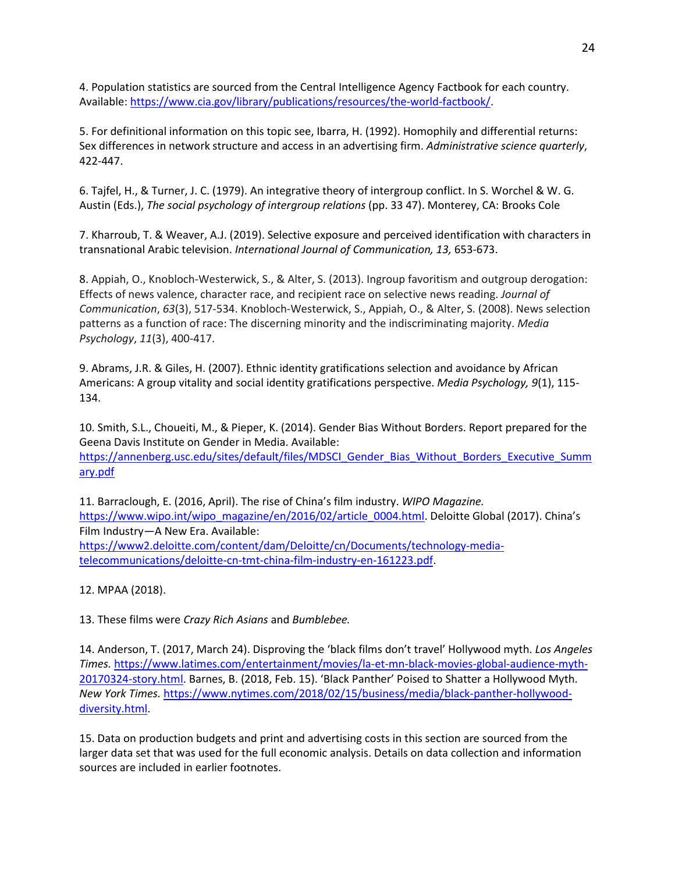4. Population statistics are sourced from the Central Intelligence Agency Factbook for each country. Available: [https://www.cia.gov/library/publications/resources/the-world-factbook/.](https://www.cia.gov/library/publications/resources/the-world-factbook/)

5. For definitional information on this topic see, Ibarra, H. (1992). Homophily and differential returns: Sex differences in network structure and access in an advertising firm. *Administrative science quarterly*, 422-447.

6. Tajfel, H., & Turner, J. C. (1979). An integrative theory of intergroup conflict. In S. Worchel & W. G. Austin (Eds.), *The social psychology of intergroup relations* (pp. 33 47). Monterey, CA: Brooks Cole

7. Kharroub, T. & Weaver, A.J. (2019). Selective exposure and perceived identification with characters in transnational Arabic television. *International Journal of Communication, 13,* 653-673.

8. Appiah, O., Knobloch-Westerwick, S., & Alter, S. (2013). Ingroup favoritism and outgroup derogation: Effects of news valence, character race, and recipient race on selective news reading. *Journal of Communication*, *63*(3), 517-534. Knobloch-Westerwick, S., Appiah, O., & Alter, S. (2008). News selection patterns as a function of race: The discerning minority and the indiscriminating majority. *Media Psychology*, *11*(3), 400-417.

9. Abrams, J.R. & Giles, H. (2007). Ethnic identity gratifications selection and avoidance by African Americans: A group vitality and social identity gratifications perspective. *Media Psychology, 9*(1), 115- 134.

10. Smith, S.L., Choueiti, M., & Pieper, K. (2014). Gender Bias Without Borders. Report prepared for the Geena Davis Institute on Gender in Media. Available: [https://annenberg.usc.edu/sites/default/files/MDSCI\\_Gender\\_Bias\\_Without\\_Borders\\_Executive\\_Summ](https://annenberg.usc.edu/sites/default/files/MDSCI_Gender_Bias_Without_Borders_Executive_Summary.pdf) [ary.pdf](https://annenberg.usc.edu/sites/default/files/MDSCI_Gender_Bias_Without_Borders_Executive_Summary.pdf)

11. Barraclough, E. (2016, April). The rise of China's film industry. *WIPO Magazine.* [https://www.wipo.int/wipo\\_magazine/en/2016/02/article\\_0004.html.](https://www.wipo.int/wipo_magazine/en/2016/02/article_0004.html) Deloitte Global (2017). China's Film Industry—A New Era. Available: [https://www2.deloitte.com/content/dam/Deloitte/cn/Documents/technology-media](https://www2.deloitte.com/content/dam/Deloitte/cn/Documents/technology-media-telecommunications/deloitte-cn-tmt-china-film-industry-en-161223.pdf)[telecommunications/deloitte-cn-tmt-china-film-industry-en-161223.pdf.](https://www2.deloitte.com/content/dam/Deloitte/cn/Documents/technology-media-telecommunications/deloitte-cn-tmt-china-film-industry-en-161223.pdf)

12. MPAA (2018).

13. These films were *Crazy Rich Asians* and *Bumblebee.*

14. Anderson, T. (2017, March 24). Disproving the 'black films don't travel' Hollywood myth. *Los Angeles Times.* [https://www.latimes.com/entertainment/movies/la-et-mn-black-movies-global-audience-myth-](https://www.latimes.com/entertainment/movies/la-et-mn-black-movies-global-audience-myth-20170324-story.html)[20170324-story.html.](https://www.latimes.com/entertainment/movies/la-et-mn-black-movies-global-audience-myth-20170324-story.html) Barnes, B. (2018, Feb. 15). 'Black Panther' Poised to Shatter a Hollywood Myth. *New York Times.* [https://www.nytimes.com/2018/02/15/business/media/black-panther-hollywood](https://www.nytimes.com/2018/02/15/business/media/black-panther-hollywood-diversity.html)[diversity.html.](https://www.nytimes.com/2018/02/15/business/media/black-panther-hollywood-diversity.html)

15. Data on production budgets and print and advertising costs in this section are sourced from the larger data set that was used for the full economic analysis. Details on data collection and information sources are included in earlier footnotes.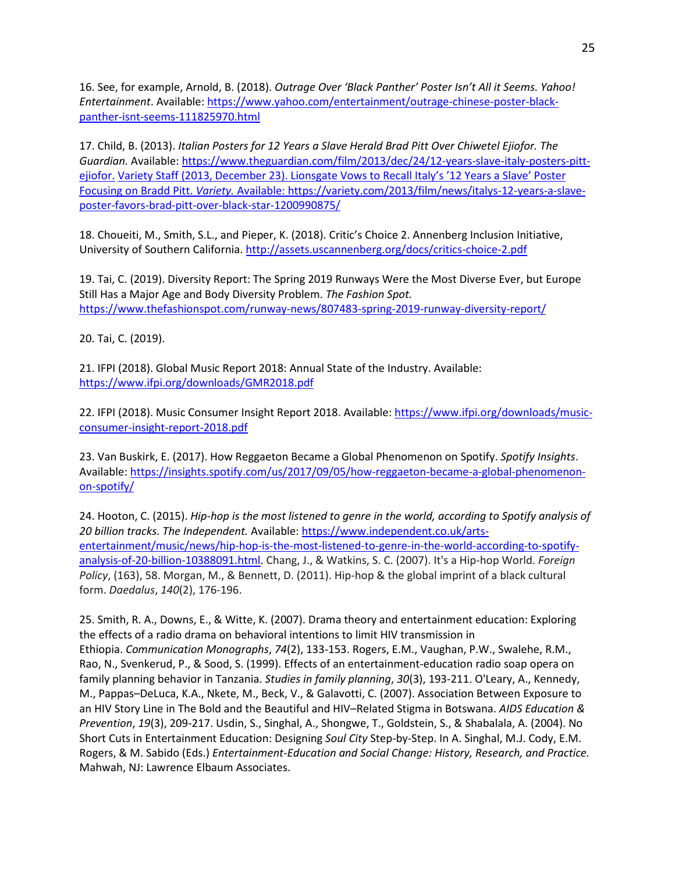16. See, for example, Arnold, B. (2018). *Outrage Over 'Black Panther' Poster Isn't All it Seems. Yahoo! Entertainment*. Available: [https://www.yahoo.com/entertainment/outrage-chinese-poster-black](https://www.yahoo.com/entertainment/outrage-chinese-poster-black-panther-isnt-seems-111825970.html)[panther-isnt-seems-111825970.html](https://www.yahoo.com/entertainment/outrage-chinese-poster-black-panther-isnt-seems-111825970.html)

17. Child, B. (2013). *Italian Posters for 12 Years a Slave Herald Brad Pitt Over Chiwetel Ejiofor. The Guardian.* Available: [https://www.theguardian.com/film/2013/dec/24/12-years-slave-italy-posters-pitt](https://www.theguardian.com/film/2013/dec/24/12-years-slave-italy-posters-pitt-ejiofor)[ejiofor.](https://www.theguardian.com/film/2013/dec/24/12-years-slave-italy-posters-pitt-ejiofor) Variety Staff (2013, December 23). Lionsgate Vows to Recall Italy's '12 Years a Slave' Poster Focusing on Bradd Pitt. *Variety.* Available: [https://variety.com/2013/film/news/italys-12-years-a-slave](https://variety.com/2013/film/news/italys-12-years-a-slave-poster-favors-brad-pitt-over-black-star-1200990875/)[poster-favors-brad-pitt-over-black-star-1200990875/](https://variety.com/2013/film/news/italys-12-years-a-slave-poster-favors-brad-pitt-over-black-star-1200990875/)

18. Choueiti, M., Smith, S.L., and Pieper, K. (2018). Critic's Choice 2. Annenberg Inclusion Initiative, University of Southern California.<http://assets.uscannenberg.org/docs/critics-choice-2.pdf>

19. Tai, C. (2019). Diversity Report: The Spring 2019 Runways Were the Most Diverse Ever, but Europe Still Has a Major Age and Body Diversity Problem. *The Fashion Spot.*  <https://www.thefashionspot.com/runway-news/807483-spring-2019-runway-diversity-report/>

20. Tai, C. (2019).

21. IFPI (2018). Global Music Report 2018: Annual State of the Industry. Available: <https://www.ifpi.org/downloads/GMR2018.pdf>

22. IFPI (2018). Music Consumer Insight Report 2018. Available: [https://www.ifpi.org/downloads/music](https://www.ifpi.org/downloads/music-consumer-insight-report-2018.pdf)[consumer-insight-report-2018.pdf](https://www.ifpi.org/downloads/music-consumer-insight-report-2018.pdf)

23. Van Buskirk, E. (2017). How Reggaeton Became a Global Phenomenon on Spotify. *Spotify Insights*. Available: [https://insights.spotify.com/us/2017/09/05/how-reggaeton-became-a-global-phenomenon](https://insights.spotify.com/us/2017/09/05/how-reggaeton-became-a-global-phenomenon-on-spotify/)[on-spotify/](https://insights.spotify.com/us/2017/09/05/how-reggaeton-became-a-global-phenomenon-on-spotify/)

24. Hooton, C. (2015). *Hip-hop is the most listened to genre in the world, according to Spotify analysis of 20 billion tracks. The Independent.* Available[: https://www.independent.co.uk/arts](https://www.independent.co.uk/arts-entertainment/music/news/hip-hop-is-the-most-listened-to-genre-in-the-world-according-to-spotify-analysis-of-20-billion-10388091.html)[entertainment/music/news/hip-hop-is-the-most-listened-to-genre-in-the-world-according-to-spotify](https://www.independent.co.uk/arts-entertainment/music/news/hip-hop-is-the-most-listened-to-genre-in-the-world-according-to-spotify-analysis-of-20-billion-10388091.html)[analysis-of-20-billion-10388091.html.](https://www.independent.co.uk/arts-entertainment/music/news/hip-hop-is-the-most-listened-to-genre-in-the-world-according-to-spotify-analysis-of-20-billion-10388091.html) Chang, J., & Watkins, S. C. (2007). It's a Hip-hop World. *Foreign Policy*, (163), 58. Morgan, M., & Bennett, D. (2011). Hip-hop & the global imprint of a black cultural form. *Daedalus*, *140*(2), 176-196.

25. Smith, R. A., Downs, E., & Witte, K. (2007). Drama theory and entertainment education: Exploring the effects of a radio drama on behavioral intentions to limit HIV transmission in Ethiopia. *Communication Monographs*, *74*(2), 133-153. Rogers, E.M., Vaughan, P.W., Swalehe, R.M., Rao, N., Svenkerud, P., & Sood, S. (1999). Effects of an entertainment-education radio soap opera on family planning behavior in Tanzania. *Studies in family planning*, *30*(3), 193-211. O'Leary, A., Kennedy, M., Pappas–DeLuca, K.A., Nkete, M., Beck, V., & Galavotti, C. (2007). Association Between Exposure to an HIV Story Line in The Bold and the Beautiful and HIV–Related Stigma in Botswana. *AIDS Education & Prevention*, *19*(3), 209-217. Usdin, S., Singhal, A., Shongwe, T., Goldstein, S., & Shabalala, A. (2004). No Short Cuts in Entertainment Education: Designing *Soul City* Step-by-Step. In A. Singhal, M.J. Cody, E.M. Rogers, & M. Sabido (Eds.) *Entertainment-Education and Social Change: History, Research, and Practice.*  Mahwah, NJ: Lawrence Elbaum Associates.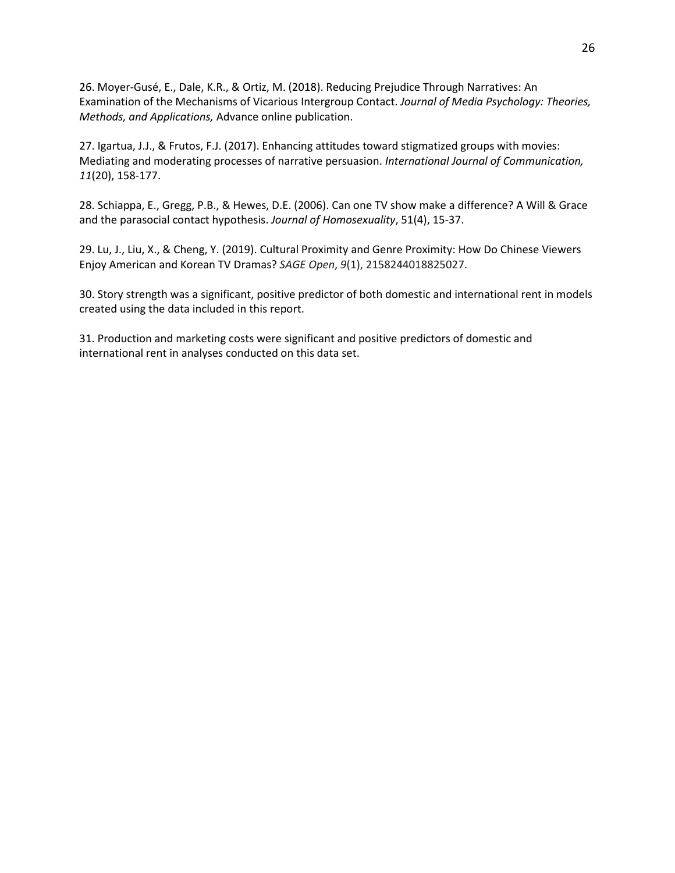26. Moyer-Gusé, E., Dale, K.R., & Ortiz, M. (2018). Reducing Prejudice Through Narratives: An Examination of the Mechanisms of Vicarious Intergroup Contact. *Journal of Media Psychology: Theories, Methods, and Applications,* Advance online publication.

27. Igartua, J.J., & Frutos, F.J. (2017). Enhancing attitudes toward stigmatized groups with movies: Mediating and moderating processes of narrative persuasion. *International Journal of Communication, 11*(20), 158-177.

28. Schiappa, E., Gregg, P.B., & Hewes, D.E. (2006). Can one TV show make a difference? A Will & Grace and the parasocial contact hypothesis. *Journal of Homosexuality*, 51(4), 15-37.

29. Lu, J., Liu, X., & Cheng, Y. (2019). Cultural Proximity and Genre Proximity: How Do Chinese Viewers Enjoy American and Korean TV Dramas? *SAGE Open*, *9*(1), 2158244018825027.

30. Story strength was a significant, positive predictor of both domestic and international rent in models created using the data included in this report.

31. Production and marketing costs were significant and positive predictors of domestic and international rent in analyses conducted on this data set.